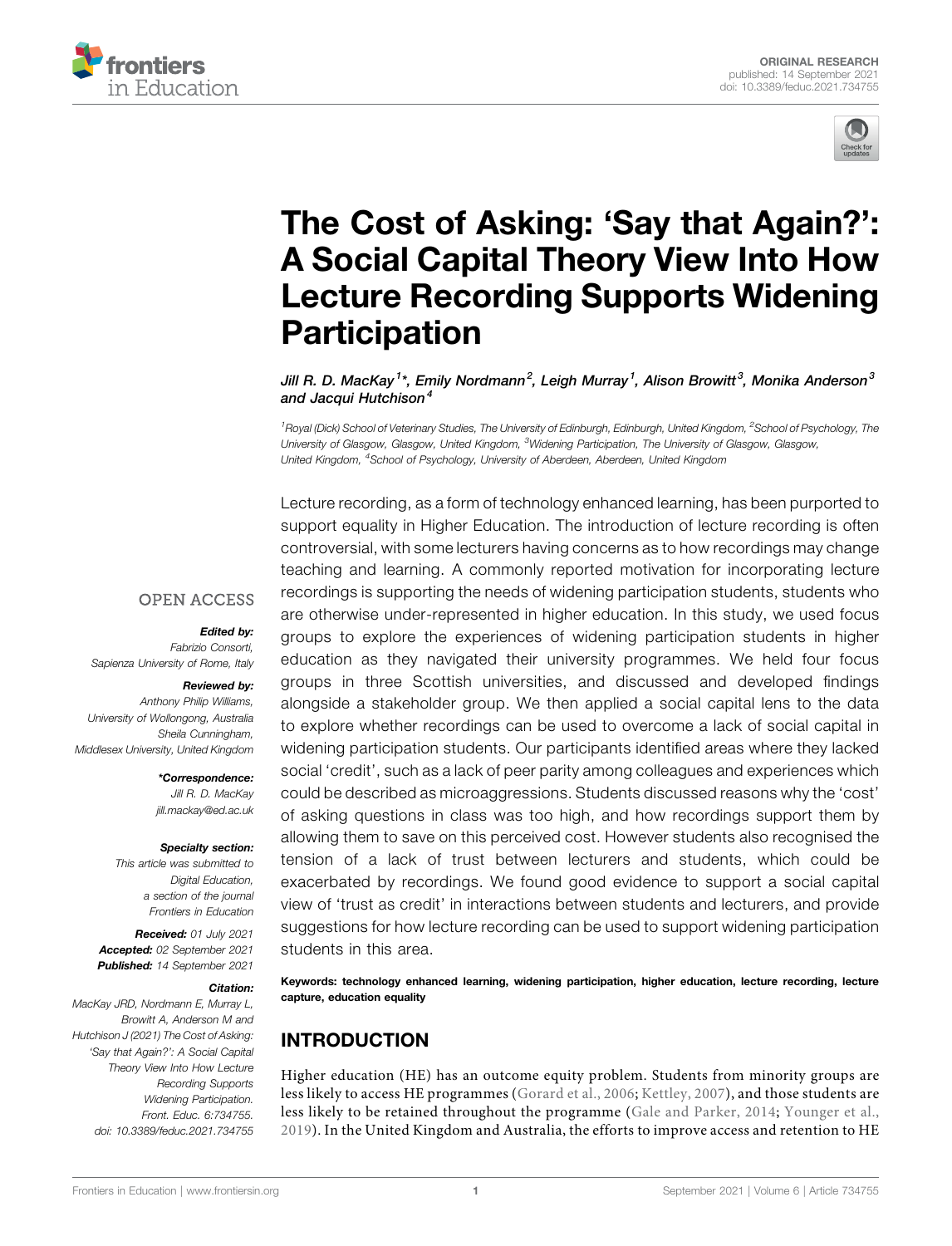



# [The Cost of Asking:](https://www.frontiersin.org/articles/10.3389/feduc.2021.734755/full) 'Say that Again?': [A Social Capital Theory View Into How](https://www.frontiersin.org/articles/10.3389/feduc.2021.734755/full) [Lecture Recording Supports Widening](https://www.frontiersin.org/articles/10.3389/feduc.2021.734755/full) **[Participation](https://www.frontiersin.org/articles/10.3389/feduc.2021.734755/full)**

Jill R. D. MacKay $^1{}^{\star}$ , Emily Nordmann $^2$ , Leigh Murray $^1$ , Alison Browitt $^3$ , Monika Anderson $^3$ and Jacqui Hutchison<sup>4</sup>

<sup>1</sup> Royal (Dick) School of Veterinary Studies, The University of Edinburgh, Edinburgh, United Kingdom, <sup>2</sup>School of Psychology, The University of Glasgow, Glasgow, United Kingdom, <sup>3</sup>Widening Participation, The University of Glasgow, Glasgow, United Kingdom, <sup>4</sup>School of Psychology, University of Aberdeen, Aberdeen, United Kingdom

Lecture recording, as a form of technology enhanced learning, has been purported to support equality in Higher Education. The introduction of lecture recording is often controversial, with some lecturers having concerns as to how recordings may change teaching and learning. A commonly reported motivation for incorporating lecture recordings is supporting the needs of widening participation students, students who are otherwise under-represented in higher education. In this study, we used focus groups to explore the experiences of widening participation students in higher education as they navigated their university programmes. We held four focus groups in three Scottish universities, and discussed and developed findings alongside a stakeholder group. We then applied a social capital lens to the data to explore whether recordings can be used to overcome a lack of social capital in widening participation students. Our participants identified areas where they lacked social 'credit', such as a lack of peer parity among colleagues and experiences which could be described as microaggressions. Students discussed reasons why the 'cost' of asking questions in class was too high, and how recordings support them by allowing them to save on this perceived cost. However students also recognised the tension of a lack of trust between lecturers and students, which could be exacerbated by recordings. We found good evidence to support a social capital view of 'trust as credit' in interactions between students and lecturers, and provide suggestions for how lecture recording can be used to support widening participation students in this area.

Keywords: technology enhanced learning, widening participation, higher education, lecture recording, lecture capture, education equality

# INTRODUCTION

Higher education (HE) has an outcome equity problem. Students from minority groups are less likely to access HE programmes ([Gorard et al., 2006](#page-9-0); [Kettley, 2007\)](#page-10-0), and those students are less likely to be retained throughout the programme ([Gale and Parker, 2014;](#page-9-1) [Younger et al.,](#page-11-0) [2019](#page-11-0)). In the United Kingdom and Australia, the efforts to improve access and retention to HE

#### **OPEN ACCESS**

#### Edited by:

Fabrizio Consorti, Sapienza University of Rome, Italy

#### Reviewed by:

Anthony Philip Williams, University of Wollongong, Australia Sheila Cunningham, Middlesex University, United Kingdom

> \*Correspondence: Jill R. D. MacKay [jill.mackay@ed.ac.uk](mailto:jill.mackay@ed.ac.uk)

#### Specialty section:

This article was submitted to Digital Education, a section of the journal Frontiers in Education

Received: 01 July 2021 Accepted: 02 September 2021 Published: 14 September 2021

#### Citation:

MacKay JRD, Nordmann E, Murray L, Browitt A, Anderson M and Hutchison J (2021) The Cost of Asking: 'Say that Again?': A Social Capital Theory View Into How Lecture Recording Supports Widening Participation. Front. Educ. 6:734755. doi: [10.3389/feduc.2021.734755](https://doi.org/10.3389/feduc.2021.734755)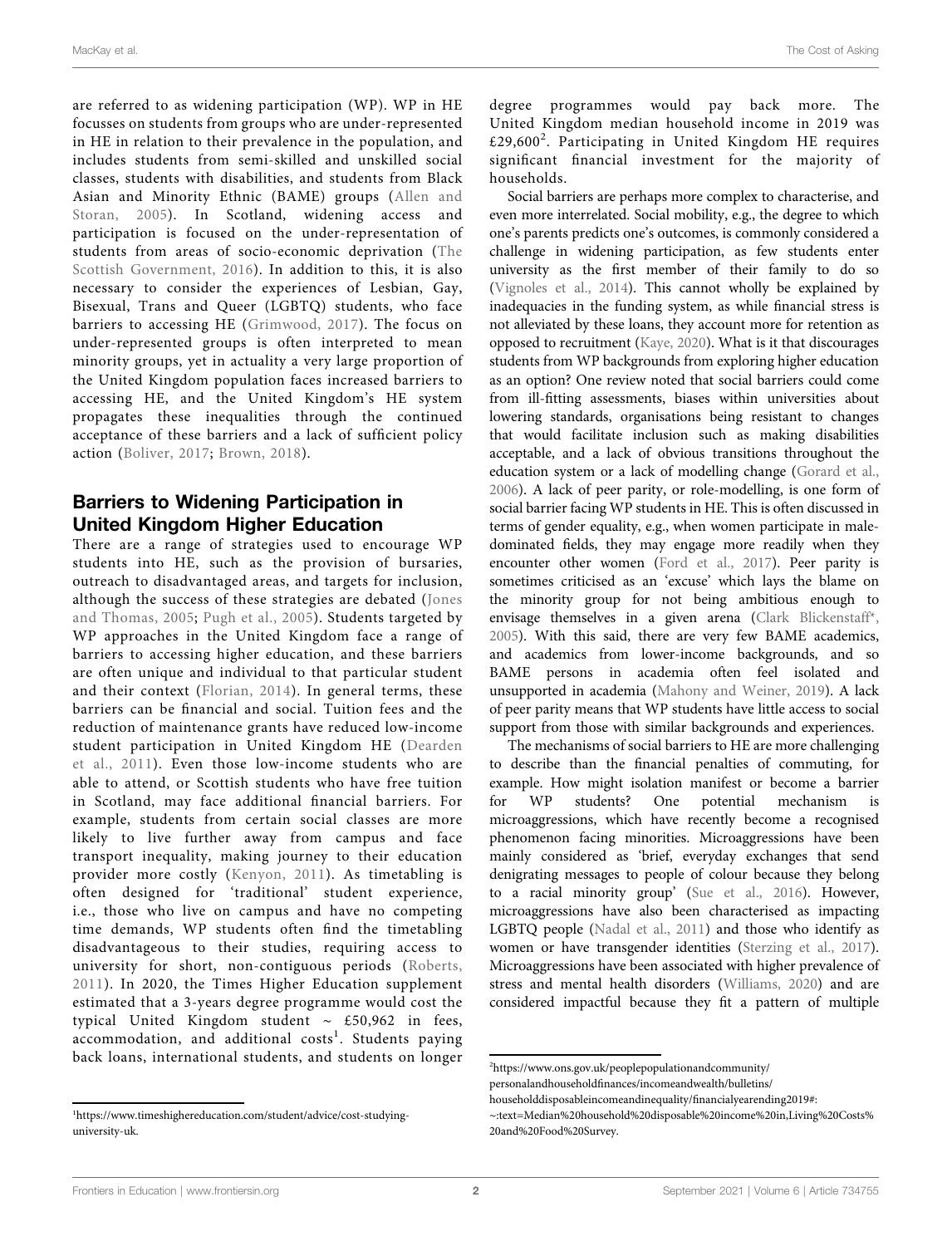are referred to as widening participation (WP). WP in HE focusses on students from groups who are under-represented in HE in relation to their prevalence in the population, and includes students from semi-skilled and unskilled social classes, students with disabilities, and students from Black Asian and Minority Ethnic (BAME) groups ([Allen and](#page-9-2) [Storan, 2005\)](#page-9-2). In Scotland, widening access and participation is focused on the under-representation of students from areas of socio-economic deprivation ([The](#page-10-1) [Scottish Government, 2016](#page-10-1)). In addition to this, it is also necessary to consider the experiences of Lesbian, Gay, Bisexual, Trans and Queer (LGBTQ) students, who face barriers to accessing HE ([Grimwood, 2017](#page-9-3)). The focus on under-represented groups is often interpreted to mean minority groups, yet in actuality a very large proportion of the United Kingdom population faces increased barriers to accessing HE, and the United Kingdom's HE system propagates these inequalities through the continued acceptance of these barriers and a lack of sufficient policy action ([Boliver, 2017](#page-9-4); [Brown, 2018\)](#page-9-5).

## Barriers to Widening Participation in United Kingdom Higher Education

There are a range of strategies used to encourage WP students into HE, such as the provision of bursaries, outreach to disadvantaged areas, and targets for inclusion, although the success of these strategies are debated ([Jones](#page-10-2) [and Thomas, 2005;](#page-10-2) [Pugh et al., 2005\)](#page-10-3). Students targeted by WP approaches in the United Kingdom face a range of barriers to accessing higher education, and these barriers are often unique and individual to that particular student and their context ([Florian, 2014](#page-9-6)). In general terms, these barriers can be financial and social. Tuition fees and the reduction of maintenance grants have reduced low-income student participation in United Kingdom HE ([Dearden](#page-9-7) [et al., 2011\)](#page-9-7). Even those low-income students who are able to attend, or Scottish students who have free tuition in Scotland, may face additional financial barriers. For example, students from certain social classes are more likely to live further away from campus and face transport inequality, making journey to their education provider more costly ([Kenyon, 2011\)](#page-10-4). As timetabling is often designed for 'traditional' student experience, i.e., those who live on campus and have no competing time demands, WP students often find the timetabling disadvantageous to their studies, requiring access to university for short, non-contiguous periods [\(Roberts,](#page-10-5) [2011](#page-10-5)). In 2020, the Times Higher Education supplement estimated that a 3-years degree programme would cost the typical United Kingdom student ∼ £50,962 in fees,  $\alpha$ commodation, and additional costs<sup>1</sup>. Students paying back loans, international students, and students on longer

degree programmes would pay back more. The United Kingdom median household income in 2019 was £29,600<sup>2</sup>. Participating in United Kingdom HE requires significant financial investment for the majority of households.

Social barriers are perhaps more complex to characterise, and even more interrelated. Social mobility, e.g., the degree to which one's parents predicts one's outcomes, is commonly considered a challenge in widening participation, as few students enter university as the first member of their family to do so [\(Vignoles et al., 2014\)](#page-10-6). This cannot wholly be explained by inadequacies in the funding system, as while financial stress is not alleviated by these loans, they account more for retention as opposed to recruitment [\(Kaye, 2020\)](#page-10-7). What is it that discourages students from WP backgrounds from exploring higher education as an option? One review noted that social barriers could come from ill-fitting assessments, biases within universities about lowering standards, organisations being resistant to changes that would facilitate inclusion such as making disabilities acceptable, and a lack of obvious transitions throughout the education system or a lack of modelling change [\(Gorard et al.,](#page-9-0) [2006](#page-9-0)). A lack of peer parity, or role-modelling, is one form of social barrier facing WP students in HE. This is often discussed in terms of gender equality, e.g., when women participate in maledominated fields, they may engage more readily when they encounter other women [\(Ford et al., 2017\)](#page-9-8). Peer parity is sometimes criticised as an 'excuse' which lays the blame on the minority group for not being ambitious enough to envisage themselves in a given arena [\(Clark Blickenstaff\\*,](#page-9-9) [2005](#page-9-9)). With this said, there are very few BAME academics, and academics from lower-income backgrounds, and so BAME persons in academia often feel isolated and unsupported in academia [\(Mahony and Weiner, 2019\)](#page-10-8). A lack of peer parity means that WP students have little access to social support from those with similar backgrounds and experiences.

The mechanisms of social barriers to HE are more challenging to describe than the financial penalties of commuting, for example. How might isolation manifest or become a barrier for WP students? One potential mechanism microaggressions, which have recently become a recognised phenomenon facing minorities. Microaggressions have been mainly considered as 'brief, everyday exchanges that send denigrating messages to people of colour because they belong to a racial minority group' ([Sue et al., 2016\)](#page-10-9). However, microaggressions have also been characterised as impacting LGBTQ people ([Nadal et al., 2011](#page-10-10)) and those who identify as women or have transgender identities ([Sterzing et al., 2017\)](#page-10-11). Microaggressions have been associated with higher prevalence of stress and mental health disorders [\(Williams, 2020](#page-10-12)) and are considered impactful because they fit a pattern of multiple

<sup>1</sup> [https://www.timeshighereducation.com/student/advice/cost-studying](https://www.timeshighereducation.com/student/advice/cost-studying-university-uk)[university-uk](https://www.timeshighereducation.com/student/advice/cost-studying-university-uk).

<sup>2</sup> [https://www.ons.gov.uk/peoplepopulationandcommunity/](https://www.ons.gov.uk/peoplepopulationandcommunity/personalandhouseholdfinances/incomeandwealth/bulletins/householddisposableincomeandinequality/financialyearending2019#:%7E:text=Median%20household%20disposable%20income%20in,Living%20Costs%20and%20Food%20Survey)

personalandhouseholdfi[nances/incomeandwealth/bulletins/](https://www.ons.gov.uk/peoplepopulationandcommunity/personalandhouseholdfinances/incomeandwealth/bulletins/householddisposableincomeandinequality/financialyearending2019#:%7E:text=Median%20household%20disposable%20income%20in,Living%20Costs%20and%20Food%20Survey)

[householddisposableincomeandinequality/](https://www.ons.gov.uk/peoplepopulationandcommunity/personalandhouseholdfinances/incomeandwealth/bulletins/householddisposableincomeandinequality/financialyearending2019#:%7E:text=Median%20household%20disposable%20income%20in,Living%20Costs%20and%20Food%20Survey)financialyearending2019#:

<sup>~</sup>[:text](https://www.ons.gov.uk/peoplepopulationandcommunity/personalandhouseholdfinances/incomeandwealth/bulletins/householddisposableincomeandinequality/financialyearending2019#:%7E:text=Median%20household%20disposable%20income%20in,Living%20Costs%20and%20Food%20Survey)=[Median%20household%20disposable%20income%20in,Living%20Costs%](https://www.ons.gov.uk/peoplepopulationandcommunity/personalandhouseholdfinances/incomeandwealth/bulletins/householddisposableincomeandinequality/financialyearending2019#:%7E:text=Median%20household%20disposable%20income%20in,Living%20Costs%20and%20Food%20Survey) [20and%20Food%20Survey](https://www.ons.gov.uk/peoplepopulationandcommunity/personalandhouseholdfinances/incomeandwealth/bulletins/householddisposableincomeandinequality/financialyearending2019#:%7E:text=Median%20household%20disposable%20income%20in,Living%20Costs%20and%20Food%20Survey).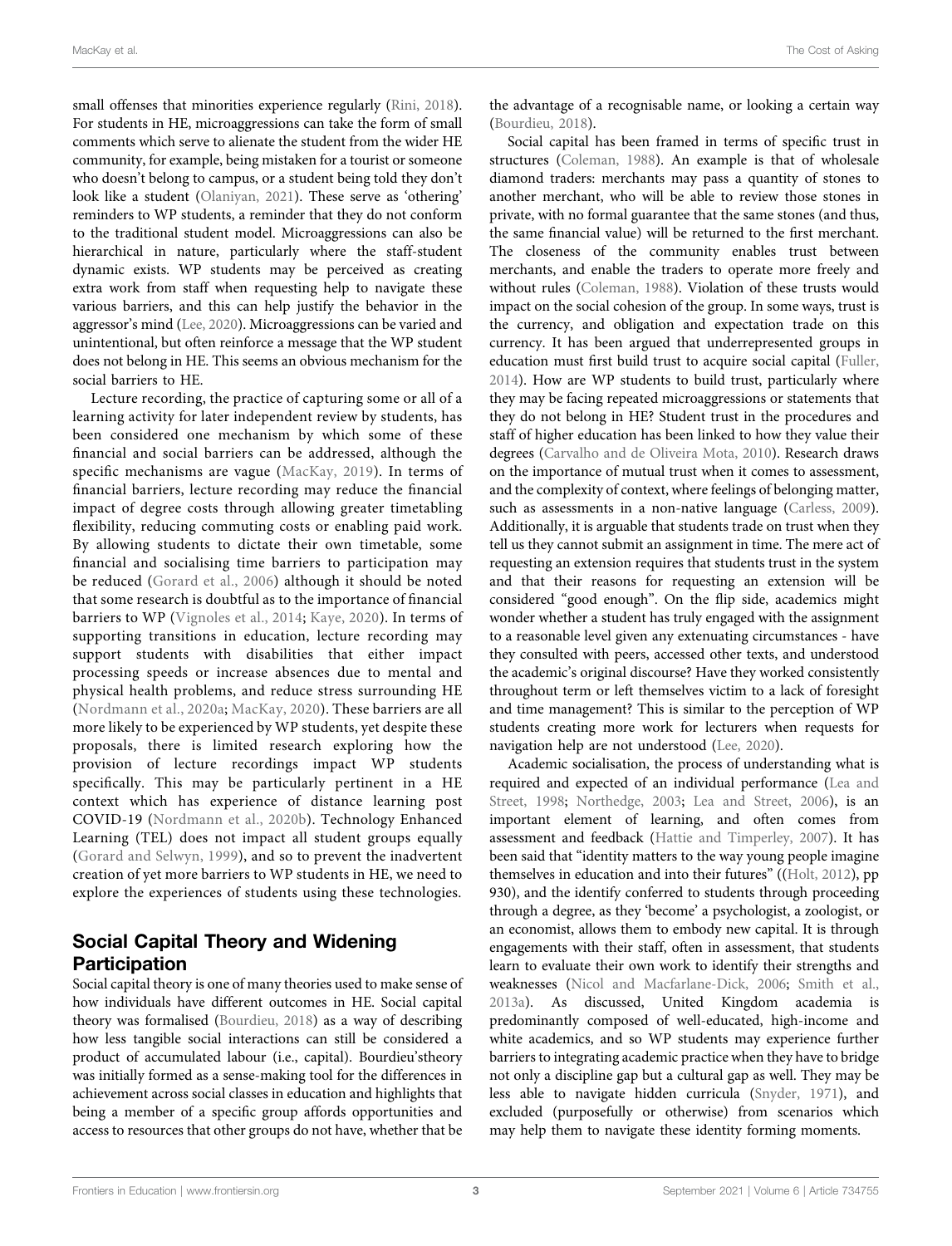small offenses that minorities experience regularly ([Rini, 2018\)](#page-10-13). For students in HE, microaggressions can take the form of small comments which serve to alienate the student from the wider HE community, for example, being mistaken for a tourist or someone who doesn't belong to campus, or a student being told they don't look like a student [\(Olaniyan, 2021](#page-10-14)). These serve as 'othering' reminders to WP students, a reminder that they do not conform to the traditional student model. Microaggressions can also be hierarchical in nature, particularly where the staff-student dynamic exists. WP students may be perceived as creating extra work from staff when requesting help to navigate these various barriers, and this can help justify the behavior in the aggressor's mind ([Lee, 2020\)](#page-10-15). Microaggressions can be varied and unintentional, but often reinforce a message that the WP student does not belong in HE. This seems an obvious mechanism for the social barriers to HE.

Lecture recording, the practice of capturing some or all of a learning activity for later independent review by students, has been considered one mechanism by which some of these financial and social barriers can be addressed, although the specific mechanisms are vague [\(MacKay, 2019\)](#page-10-16). In terms of financial barriers, lecture recording may reduce the financial impact of degree costs through allowing greater timetabling flexibility, reducing commuting costs or enabling paid work. By allowing students to dictate their own timetable, some financial and socialising time barriers to participation may be reduced ([Gorard et al., 2006](#page-9-0)) although it should be noted that some research is doubtful as to the importance of financial barriers to WP ([Vignoles et al., 2014](#page-10-6); [Kaye, 2020](#page-10-7)). In terms of supporting transitions in education, lecture recording may support students with disabilities that either impact processing speeds or increase absences due to mental and physical health problems, and reduce stress surrounding HE ([Nordmann et al., 2020a](#page-10-17); [MacKay, 2020](#page-10-18)). These barriers are all more likely to be experienced by WP students, yet despite these proposals, there is limited research exploring how the provision of lecture recordings impact WP students specifically. This may be particularly pertinent in a HE context which has experience of distance learning post COVID-19 ([Nordmann et al., 2020b\)](#page-10-19). Technology Enhanced Learning (TEL) does not impact all student groups equally ([Gorard and Selwyn, 1999\)](#page-9-10), and so to prevent the inadvertent creation of yet more barriers to WP students in HE, we need to explore the experiences of students using these technologies.

# Social Capital Theory and Widening **Participation**

Social capital theory is one of many theories used to make sense of how individuals have different outcomes in HE. Social capital theory was formalised [\(Bourdieu, 2018\)](#page-9-11) as a way of describing how less tangible social interactions can still be considered a product of accumulated labour (i.e., capital). Bourdieu'stheory was initially formed as a sense-making tool for the differences in achievement across social classes in education and highlights that being a member of a specific group affords opportunities and access to resources that other groups do not have, whether that be

the advantage of a recognisable name, or looking a certain way [\(Bourdieu, 2018\)](#page-9-11).

Social capital has been framed in terms of specific trust in structures [\(Coleman, 1988](#page-9-12)). An example is that of wholesale diamond traders: merchants may pass a quantity of stones to another merchant, who will be able to review those stones in private, with no formal guarantee that the same stones (and thus, the same financial value) will be returned to the first merchant. The closeness of the community enables trust between merchants, and enable the traders to operate more freely and without rules ([Coleman, 1988](#page-9-12)). Violation of these trusts would impact on the social cohesion of the group. In some ways, trust is the currency, and obligation and expectation trade on this currency. It has been argued that underrepresented groups in education must first build trust to acquire social capital ([Fuller,](#page-9-13) [2014](#page-9-13)). How are WP students to build trust, particularly where they may be facing repeated microaggressions or statements that they do not belong in HE? Student trust in the procedures and staff of higher education has been linked to how they value their degrees [\(Carvalho and de Oliveira Mota, 2010\)](#page-9-14). Research draws on the importance of mutual trust when it comes to assessment, and the complexity of context, where feelings of belonging matter, such as assessments in a non-native language [\(Carless, 2009\)](#page-9-15). Additionally, it is arguable that students trade on trust when they tell us they cannot submit an assignment in time. The mere act of requesting an extension requires that students trust in the system and that their reasons for requesting an extension will be considered "good enough". On the flip side, academics might wonder whether a student has truly engaged with the assignment to a reasonable level given any extenuating circumstances - have they consulted with peers, accessed other texts, and understood the academic's original discourse? Have they worked consistently throughout term or left themselves victim to a lack of foresight and time management? This is similar to the perception of WP students creating more work for lecturers when requests for navigation help are not understood [\(Lee, 2020\)](#page-10-15).

Academic socialisation, the process of understanding what is required and expected of an individual performance ([Lea and](#page-10-20) [Street, 1998](#page-10-20); [Northedge, 2003](#page-10-21); [Lea and Street, 2006\)](#page-10-22), is an important element of learning, and often comes from assessment and feedback ([Hattie and Timperley, 2007](#page-9-16)). It has been said that "identity matters to the way young people imagine themselves in education and into their futures" ([\(Holt, 2012](#page-10-23)), pp 930), and the identify conferred to students through proceeding through a degree, as they 'become' a psychologist, a zoologist, or an economist, allows them to embody new capital. It is through engagements with their staff, often in assessment, that students learn to evaluate their own work to identify their strengths and weaknesses [\(Nicol and Macfarlane-Dick, 2006;](#page-10-24) [Smith et al.,](#page-10-25) [2013a](#page-10-25)). As discussed, United Kingdom academia is predominantly composed of well-educated, high-income and white academics, and so WP students may experience further barriers to integrating academic practice when they have to bridge not only a discipline gap but a cultural gap as well. They may be less able to navigate hidden curricula [\(Snyder, 1971](#page-10-26)), and excluded (purposefully or otherwise) from scenarios which may help them to navigate these identity forming moments.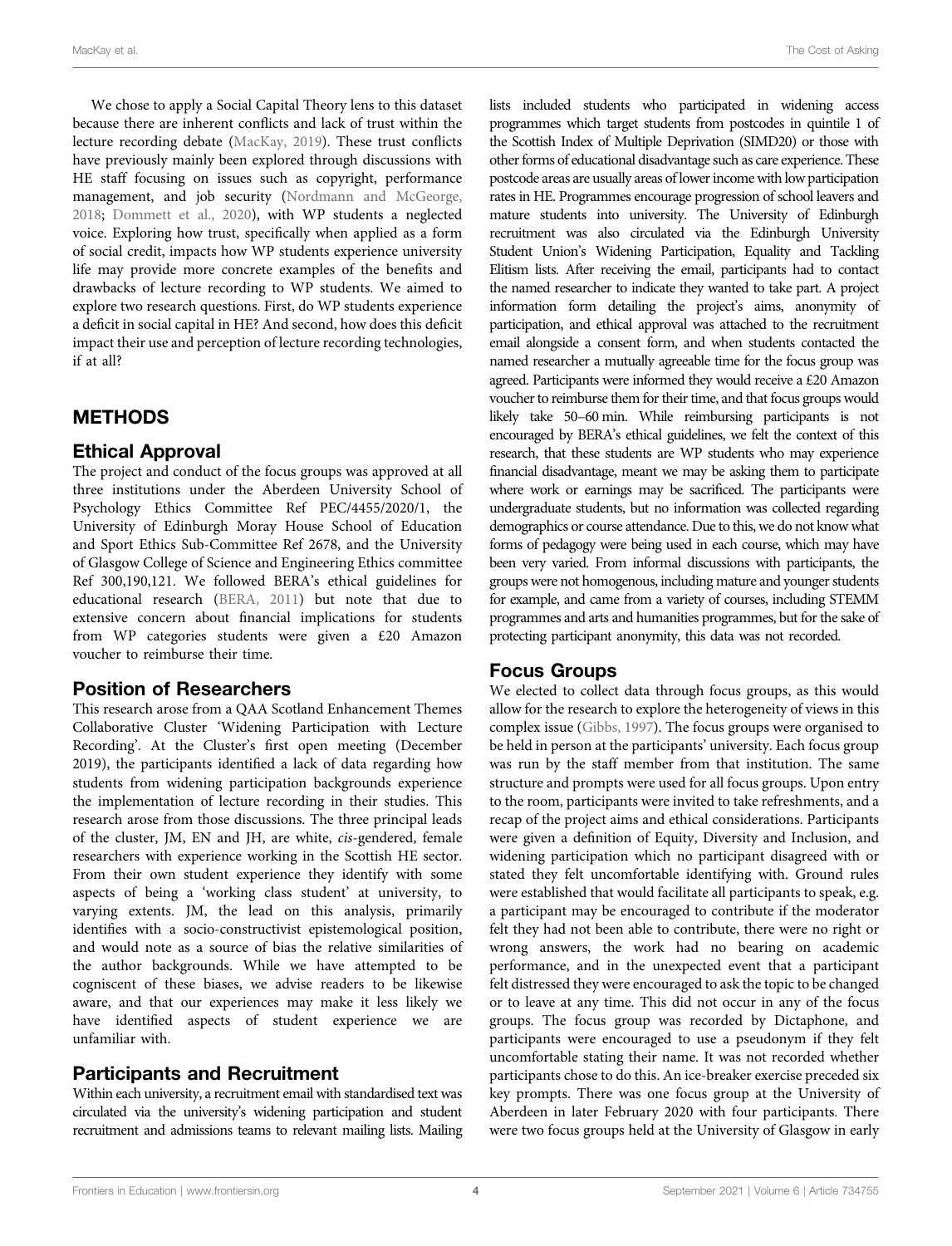We chose to apply a Social Capital Theory lens to this dataset because there are inherent conflicts and lack of trust within the lecture recording debate [\(MacKay, 2019](#page-10-16)). These trust conflicts have previously mainly been explored through discussions with HE staff focusing on issues such as copyright, performance management, and job security [\(Nordmann and McGeorge,](#page-10-27) [2018](#page-10-27); [Dommett et al., 2020](#page-9-17)), with WP students a neglected voice. Exploring how trust, specifically when applied as a form of social credit, impacts how WP students experience university life may provide more concrete examples of the benefits and drawbacks of lecture recording to WP students. We aimed to explore two research questions. First, do WP students experience a deficit in social capital in HE? And second, how does this deficit impact their use and perception of lecture recording technologies, if at all?

#### **METHODS**

#### Ethical Approval

The project and conduct of the focus groups was approved at all three institutions under the Aberdeen University School of Psychology Ethics Committee Ref PEC/4455/2020/1, the University of Edinburgh Moray House School of Education and Sport Ethics Sub-Committee Ref 2678, and the University of Glasgow College of Science and Engineering Ethics committee Ref 300,190,121. We followed BERA's ethical guidelines for educational research ([BERA, 2011\)](#page-9-18) but note that due to extensive concern about financial implications for students from WP categories students were given a £20 Amazon voucher to reimburse their time.

#### Position of Researchers

This research arose from a QAA Scotland Enhancement Themes Collaborative Cluster 'Widening Participation with Lecture Recording'. At the Cluster's first open meeting (December 2019), the participants identified a lack of data regarding how students from widening participation backgrounds experience the implementation of lecture recording in their studies. This research arose from those discussions. The three principal leads of the cluster, JM, EN and JH, are white, cis-gendered, female researchers with experience working in the Scottish HE sector. From their own student experience they identify with some aspects of being a 'working class student' at university, to varying extents. JM, the lead on this analysis, primarily identifies with a socio-constructivist epistemological position, and would note as a source of bias the relative similarities of the author backgrounds. While we have attempted to be cogniscent of these biases, we advise readers to be likewise aware, and that our experiences may make it less likely we have identified aspects of student experience we are unfamiliar with.

#### Participants and Recruitment

Within each university, a recruitment email with standardised text was circulated via the university's widening participation and student recruitment and admissions teams to relevant mailing lists. Mailing lists included students who participated in widening access programmes which target students from postcodes in quintile 1 of the Scottish Index of Multiple Deprivation (SIMD20) or those with other forms of educational disadvantage such as care experience. These postcode areas are usually areas of lower income with low participation rates in HE. Programmes encourage progression of school leavers and mature students into university. The University of Edinburgh recruitment was also circulated via the Edinburgh University Student Union's Widening Participation, Equality and Tackling Elitism lists. After receiving the email, participants had to contact the named researcher to indicate they wanted to take part. A project information form detailing the project's aims, anonymity of participation, and ethical approval was attached to the recruitment email alongside a consent form, and when students contacted the named researcher a mutually agreeable time for the focus group was agreed. Participants were informed they would receive a £20 Amazon voucher to reimburse them for their time, and that focus groups would likely take 50–60 min. While reimbursing participants is not encouraged by BERA's ethical guidelines, we felt the context of this research, that these students are WP students who may experience financial disadvantage, meant we may be asking them to participate where work or earnings may be sacrificed. The participants were undergraduate students, but no information was collected regarding demographics or course attendance. Due to this, we do not know what forms of pedagogy were being used in each course, which may have been very varied. From informal discussions with participants, the groups were not homogenous, including mature and younger students for example, and came from a variety of courses, including STEMM programmes and arts and humanities programmes, but for the sake of protecting participant anonymity, this data was not recorded.

#### Focus Groups

We elected to collect data through focus groups, as this would allow for the research to explore the heterogeneity of views in this complex issue [\(Gibbs, 1997\)](#page-9-19). The focus groups were organised to be held in person at the participants' university. Each focus group was run by the staff member from that institution. The same structure and prompts were used for all focus groups. Upon entry to the room, participants were invited to take refreshments, and a recap of the project aims and ethical considerations. Participants were given a definition of Equity, Diversity and Inclusion, and widening participation which no participant disagreed with or stated they felt uncomfortable identifying with. Ground rules were established that would facilitate all participants to speak, e.g. a participant may be encouraged to contribute if the moderator felt they had not been able to contribute, there were no right or wrong answers, the work had no bearing on academic performance, and in the unexpected event that a participant felt distressed they were encouraged to ask the topic to be changed or to leave at any time. This did not occur in any of the focus groups. The focus group was recorded by Dictaphone, and participants were encouraged to use a pseudonym if they felt uncomfortable stating their name. It was not recorded whether participants chose to do this. An ice-breaker exercise preceded six key prompts. There was one focus group at the University of Aberdeen in later February 2020 with four participants. There were two focus groups held at the University of Glasgow in early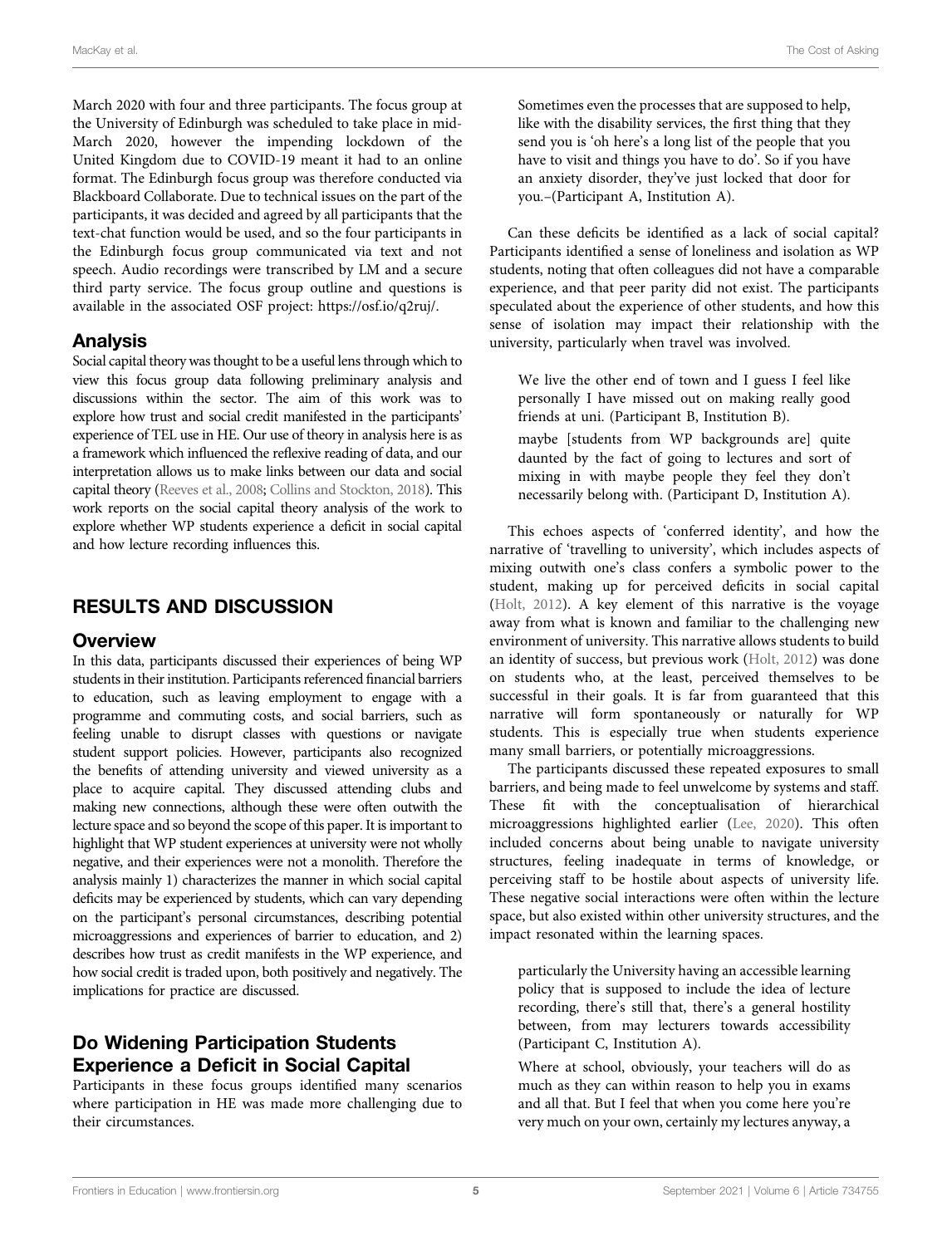March 2020 with four and three participants. The focus group at the University of Edinburgh was scheduled to take place in mid-March 2020, however the impending lockdown of the United Kingdom due to COVID-19 meant it had to an online format. The Edinburgh focus group was therefore conducted via Blackboard Collaborate. Due to technical issues on the part of the participants, it was decided and agreed by all participants that the text-chat function would be used, and so the four participants in the Edinburgh focus group communicated via text and not speech. Audio recordings were transcribed by LM and a secure third party service. The focus group outline and questions is available in the associated OSF project: [https://osf.io/q2ruj/.](https://osf.io/q2ruj/)

#### Analysis

Social capital theory was thought to be a useful lens through which to view this focus group data following preliminary analysis and discussions within the sector. The aim of this work was to explore how trust and social credit manifested in the participants' experience of TEL use in HE. Our use of theory in analysis here is as a framework which influenced the reflexive reading of data, and our interpretation allows us to make links between our data and social capital theory ([Reeves et al., 2008;](#page-10-28) [Collins and Stockton, 2018\)](#page-9-20). This work reports on the social capital theory analysis of the work to explore whether WP students experience a deficit in social capital and how lecture recording influences this.

## RESULTS AND DISCUSSION

#### **Overview**

In this data, participants discussed their experiences of being WP students in their institution. Participants referenced financial barriers to education, such as leaving employment to engage with a programme and commuting costs, and social barriers, such as feeling unable to disrupt classes with questions or navigate student support policies. However, participants also recognized the benefits of attending university and viewed university as a place to acquire capital. They discussed attending clubs and making new connections, although these were often outwith the lecture space and so beyond the scope of this paper. It is important to highlight that WP student experiences at university were not wholly negative, and their experiences were not a monolith. Therefore the analysis mainly 1) characterizes the manner in which social capital deficits may be experienced by students, which can vary depending on the participant's personal circumstances, describing potential microaggressions and experiences of barrier to education, and 2) describes how trust as credit manifests in the WP experience, and how social credit is traded upon, both positively and negatively. The implications for practice are discussed.

# Do Widening Participation Students Experience a Deficit in Social Capital

Participants in these focus groups identified many scenarios where participation in HE was made more challenging due to their circumstances.

Sometimes even the processes that are supposed to help, like with the disability services, the first thing that they send you is 'oh here's a long list of the people that you have to visit and things you have to do'. So if you have an anxiety disorder, they've just locked that door for you.–(Participant A, Institution A).

Can these deficits be identified as a lack of social capital? Participants identified a sense of loneliness and isolation as WP students, noting that often colleagues did not have a comparable experience, and that peer parity did not exist. The participants speculated about the experience of other students, and how this sense of isolation may impact their relationship with the university, particularly when travel was involved.

We live the other end of town and I guess I feel like personally I have missed out on making really good friends at uni. (Participant B, Institution B).

maybe [students from WP backgrounds are] quite daunted by the fact of going to lectures and sort of mixing in with maybe people they feel they don't necessarily belong with. (Participant D, Institution A).

This echoes aspects of 'conferred identity', and how the narrative of 'travelling to university', which includes aspects of mixing outwith one's class confers a symbolic power to the student, making up for perceived deficits in social capital [\(Holt, 2012\)](#page-10-23). A key element of this narrative is the voyage away from what is known and familiar to the challenging new environment of university. This narrative allows students to build an identity of success, but previous work [\(Holt, 2012](#page-10-23)) was done on students who, at the least, perceived themselves to be successful in their goals. It is far from guaranteed that this narrative will form spontaneously or naturally for WP students. This is especially true when students experience many small barriers, or potentially microaggressions.

The participants discussed these repeated exposures to small barriers, and being made to feel unwelcome by systems and staff. These fit with the conceptualisation of hierarchical microaggressions highlighted earlier [\(Lee, 2020](#page-10-15)). This often included concerns about being unable to navigate university structures, feeling inadequate in terms of knowledge, or perceiving staff to be hostile about aspects of university life. These negative social interactions were often within the lecture space, but also existed within other university structures, and the impact resonated within the learning spaces.

particularly the University having an accessible learning policy that is supposed to include the idea of lecture recording, there's still that, there's a general hostility between, from may lecturers towards accessibility (Participant C, Institution A).

Where at school, obviously, your teachers will do as much as they can within reason to help you in exams and all that. But I feel that when you come here you're very much on your own, certainly my lectures anyway, a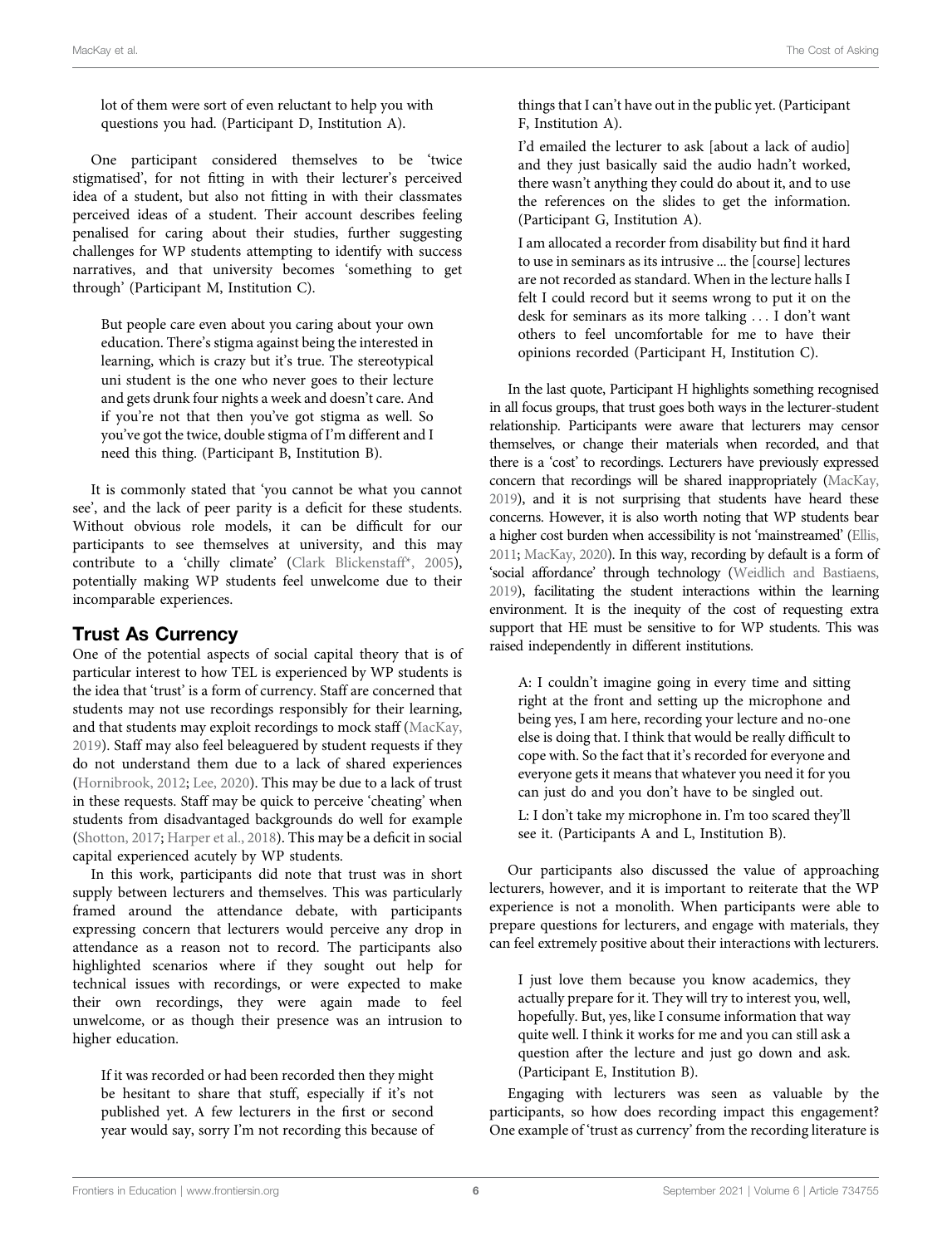lot of them were sort of even reluctant to help you with questions you had. (Participant D, Institution A).

One participant considered themselves to be 'twice stigmatised', for not fitting in with their lecturer's perceived idea of a student, but also not fitting in with their classmates perceived ideas of a student. Their account describes feeling penalised for caring about their studies, further suggesting challenges for WP students attempting to identify with success narratives, and that university becomes 'something to get through' (Participant M, Institution C).

But people care even about you caring about your own education. There's stigma against being the interested in learning, which is crazy but it's true. The stereotypical uni student is the one who never goes to their lecture and gets drunk four nights a week and doesn't care. And if you're not that then you've got stigma as well. So you've got the twice, double stigma of I'm different and I need this thing. (Participant B, Institution B).

It is commonly stated that 'you cannot be what you cannot see', and the lack of peer parity is a deficit for these students. Without obvious role models, it can be difficult for our participants to see themselves at university, and this may contribute to a 'chilly climate' ([Clark Blickenstaff\\*, 2005\)](#page-9-9), potentially making WP students feel unwelcome due to their incomparable experiences.

#### Trust As Currency

One of the potential aspects of social capital theory that is of particular interest to how TEL is experienced by WP students is the idea that 'trust' is a form of currency. Staff are concerned that students may not use recordings responsibly for their learning, and that students may exploit recordings to mock staff ([MacKay,](#page-10-16) [2019](#page-10-16)). Staff may also feel beleaguered by student requests if they do not understand them due to a lack of shared experiences ([Hornibrook, 2012](#page-10-29); [Lee, 2020](#page-10-15)). This may be due to a lack of trust in these requests. Staff may be quick to perceive 'cheating' when students from disadvantaged backgrounds do well for example ([Shotton, 2017](#page-10-30); [Harper et al., 2018\)](#page-9-21). This may be a deficit in social capital experienced acutely by WP students.

In this work, participants did note that trust was in short supply between lecturers and themselves. This was particularly framed around the attendance debate, with participants expressing concern that lecturers would perceive any drop in attendance as a reason not to record. The participants also highlighted scenarios where if they sought out help for technical issues with recordings, or were expected to make their own recordings, they were again made to feel unwelcome, or as though their presence was an intrusion to higher education.

If it was recorded or had been recorded then they might be hesitant to share that stuff, especially if it's not published yet. A few lecturers in the first or second year would say, sorry I'm not recording this because of things that I can't have out in the public yet. (Participant F, Institution A).

I'd emailed the lecturer to ask [about a lack of audio] and they just basically said the audio hadn't worked, there wasn't anything they could do about it, and to use the references on the slides to get the information. (Participant G, Institution A).

I am allocated a recorder from disability but find it hard to use in seminars as its intrusive ... the [course] lectures are not recorded as standard. When in the lecture halls I felt I could record but it seems wrong to put it on the desk for seminars as its more talking ... I don't want others to feel uncomfortable for me to have their opinions recorded (Participant H, Institution C).

In the last quote, Participant H highlights something recognised in all focus groups, that trust goes both ways in the lecturer-student relationship. Participants were aware that lecturers may censor themselves, or change their materials when recorded, and that there is a 'cost' to recordings. Lecturers have previously expressed concern that recordings will be shared inappropriately [\(MacKay,](#page-10-16) [2019](#page-10-16)), and it is not surprising that students have heard these concerns. However, it is also worth noting that WP students bear a higher cost burden when accessibility is not 'mainstreamed' [\(Ellis,](#page-9-22) [2011](#page-9-22); [MacKay, 2020\)](#page-10-18). In this way, recording by default is a form of 'social affordance' through technology ([Weidlich and Bastiaens,](#page-10-31) [2019](#page-10-31)), facilitating the student interactions within the learning environment. It is the inequity of the cost of requesting extra support that HE must be sensitive to for WP students. This was raised independently in different institutions.

A: I couldn't imagine going in every time and sitting right at the front and setting up the microphone and being yes, I am here, recording your lecture and no-one else is doing that. I think that would be really difficult to cope with. So the fact that it's recorded for everyone and everyone gets it means that whatever you need it for you can just do and you don't have to be singled out.

L: I don't take my microphone in. I'm too scared they'll see it. (Participants A and L, Institution B).

Our participants also discussed the value of approaching lecturers, however, and it is important to reiterate that the WP experience is not a monolith. When participants were able to prepare questions for lecturers, and engage with materials, they can feel extremely positive about their interactions with lecturers.

I just love them because you know academics, they actually prepare for it. They will try to interest you, well, hopefully. But, yes, like I consume information that way quite well. I think it works for me and you can still ask a question after the lecture and just go down and ask. (Participant E, Institution B).

Engaging with lecturers was seen as valuable by the participants, so how does recording impact this engagement? One example of 'trust as currency' from the recording literature is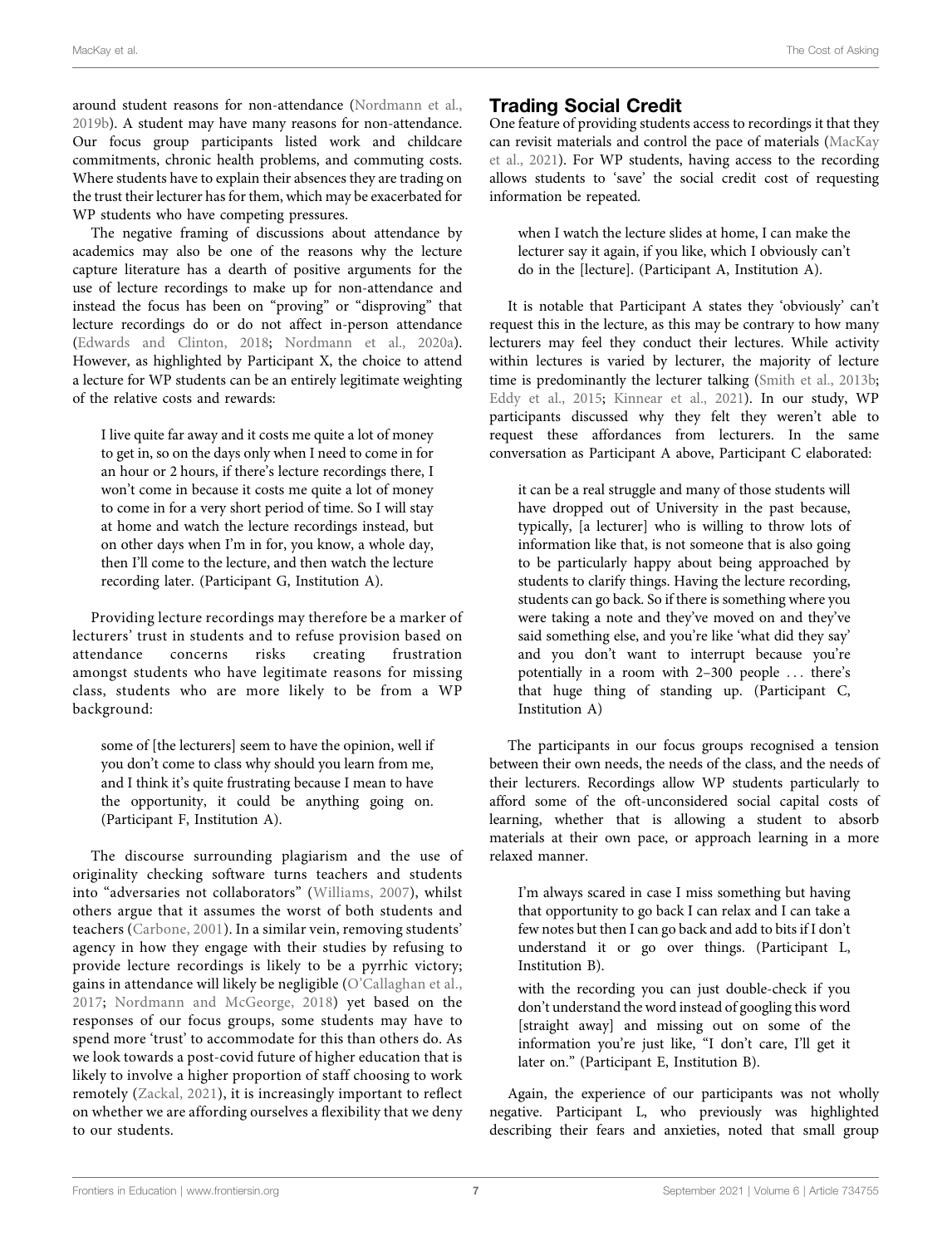around student reasons for non-attendance ([Nordmann et al.,](#page-10-32) [2019b](#page-10-32)). A student may have many reasons for non-attendance. Our focus group participants listed work and childcare commitments, chronic health problems, and commuting costs. Where students have to explain their absences they are trading on the trust their lecturer has for them, which may be exacerbated for WP students who have competing pressures.

The negative framing of discussions about attendance by academics may also be one of the reasons why the lecture capture literature has a dearth of positive arguments for the use of lecture recordings to make up for non-attendance and instead the focus has been on "proving" or "disproving" that lecture recordings do or do not affect in-person attendance ([Edwards and Clinton, 2018](#page-9-23); [Nordmann et al., 2020a\)](#page-10-17). However, as highlighted by Participant X, the choice to attend a lecture for WP students can be an entirely legitimate weighting of the relative costs and rewards:

I live quite far away and it costs me quite a lot of money to get in, so on the days only when I need to come in for an hour or 2 hours, if there's lecture recordings there, I won't come in because it costs me quite a lot of money to come in for a very short period of time. So I will stay at home and watch the lecture recordings instead, but on other days when I'm in for, you know, a whole day, then I'll come to the lecture, and then watch the lecture recording later. (Participant G, Institution A).

Providing lecture recordings may therefore be a marker of lecturers' trust in students and to refuse provision based on attendance concerns risks creating frustration amongst students who have legitimate reasons for missing class, students who are more likely to be from a WP background:

some of [the lecturers] seem to have the opinion, well if you don't come to class why should you learn from me, and I think it's quite frustrating because I mean to have the opportunity, it could be anything going on. (Participant F, Institution A).

The discourse surrounding plagiarism and the use of originality checking software turns teachers and students into "adversaries not collaborators" ([Williams, 2007](#page-10-33)), whilst others argue that it assumes the worst of both students and teachers ([Carbone, 2001\)](#page-9-24). In a similar vein, removing students' agency in how they engage with their studies by refusing to provide lecture recordings is likely to be a pyrrhic victory; gains in attendance will likely be negligible (O'[Callaghan et al.,](#page-10-34) [2017](#page-10-34); [Nordmann and McGeorge, 2018](#page-10-27)) yet based on the responses of our focus groups, some students may have to spend more 'trust' to accommodate for this than others do. As we look towards a post-covid future of higher education that is likely to involve a higher proportion of staff choosing to work remotely [\(Zackal, 2021](#page-11-1)), it is increasingly important to reflect on whether we are affording ourselves a flexibility that we deny to our students.

# Trading Social Credit

One feature of providing students access to recordings it that they can revisit materials and control the pace of materials ([MacKay](#page-10-35) [et al., 2021](#page-10-35)). For WP students, having access to the recording allows students to 'save' the social credit cost of requesting information be repeated.

when I watch the lecture slides at home, I can make the lecturer say it again, if you like, which I obviously can't do in the [lecture]. (Participant A, Institution A).

It is notable that Participant A states they 'obviously' can't request this in the lecture, as this may be contrary to how many lecturers may feel they conduct their lectures. While activity within lectures is varied by lecturer, the majority of lecture time is predominantly the lecturer talking [\(Smith et al., 2013b;](#page-10-36) [Eddy et al., 2015;](#page-9-25) [Kinnear et al., 2021\)](#page-10-37). In our study, WP participants discussed why they felt they weren't able to request these affordances from lecturers. In the same conversation as Participant A above, Participant C elaborated:

it can be a real struggle and many of those students will have dropped out of University in the past because, typically, [a lecturer] who is willing to throw lots of information like that, is not someone that is also going to be particularly happy about being approached by students to clarify things. Having the lecture recording, students can go back. So if there is something where you were taking a note and they've moved on and they've said something else, and you're like 'what did they say' and you don't want to interrupt because you're potentially in a room with 2–300 people ... there's that huge thing of standing up. (Participant C, Institution A)

The participants in our focus groups recognised a tension between their own needs, the needs of the class, and the needs of their lecturers. Recordings allow WP students particularly to afford some of the oft-unconsidered social capital costs of learning, whether that is allowing a student to absorb materials at their own pace, or approach learning in a more relaxed manner.

I'm always scared in case I miss something but having that opportunity to go back I can relax and I can take a few notes but then I can go back and add to bits if I don't understand it or go over things. (Participant L, Institution B).

with the recording you can just double-check if you don't understand the word instead of googling this word [straight away] and missing out on some of the information you're just like, "I don't care, I'll get it later on." (Participant E, Institution B).

Again, the experience of our participants was not wholly negative. Participant L, who previously was highlighted describing their fears and anxieties, noted that small group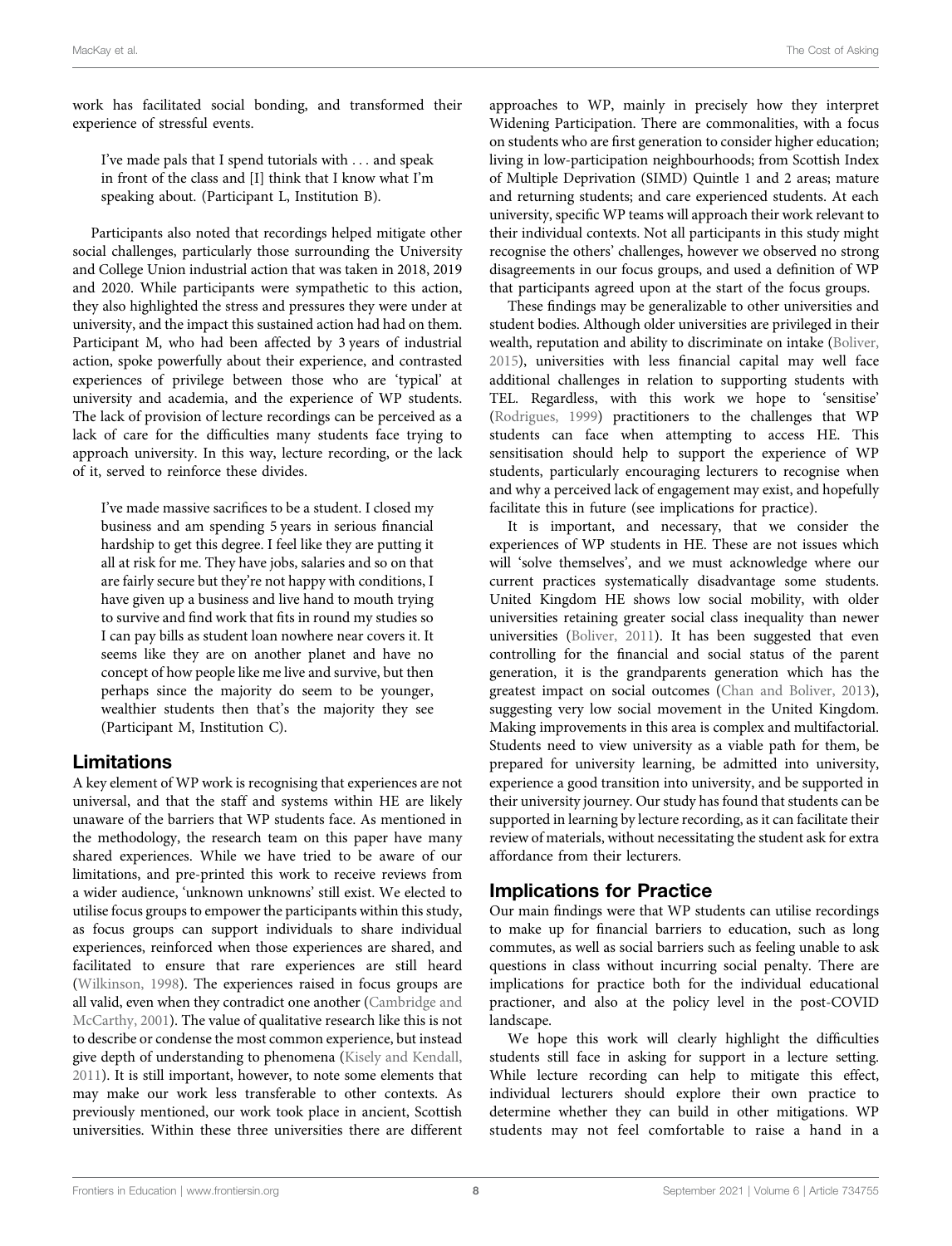work has facilitated social bonding, and transformed their experience of stressful events.

I've made pals that I spend tutorials with ... and speak in front of the class and [I] think that I know what I'm speaking about. (Participant L, Institution B).

Participants also noted that recordings helped mitigate other social challenges, particularly those surrounding the University and College Union industrial action that was taken in 2018, 2019 and 2020. While participants were sympathetic to this action, they also highlighted the stress and pressures they were under at university, and the impact this sustained action had had on them. Participant M, who had been affected by 3 years of industrial action, spoke powerfully about their experience, and contrasted experiences of privilege between those who are 'typical' at university and academia, and the experience of WP students. The lack of provision of lecture recordings can be perceived as a lack of care for the difficulties many students face trying to approach university. In this way, lecture recording, or the lack of it, served to reinforce these divides.

I've made massive sacrifices to be a student. I closed my business and am spending 5 years in serious financial hardship to get this degree. I feel like they are putting it all at risk for me. They have jobs, salaries and so on that are fairly secure but they're not happy with conditions, I have given up a business and live hand to mouth trying to survive and find work that fits in round my studies so I can pay bills as student loan nowhere near covers it. It seems like they are on another planet and have no concept of how people like me live and survive, but then perhaps since the majority do seem to be younger, wealthier students then that's the majority they see (Participant M, Institution C).

#### Limitations

A key element of WP work is recognising that experiences are not universal, and that the staff and systems within HE are likely unaware of the barriers that WP students face. As mentioned in the methodology, the research team on this paper have many shared experiences. While we have tried to be aware of our limitations, and pre-printed this work to receive reviews from a wider audience, 'unknown unknowns' still exist. We elected to utilise focus groups to empower the participants within this study, as focus groups can support individuals to share individual experiences, reinforced when those experiences are shared, and facilitated to ensure that rare experiences are still heard ([Wilkinson, 1998](#page-10-38)). The experiences raised in focus groups are all valid, even when they contradict one another ([Cambridge and](#page-9-26) [McCarthy, 2001](#page-9-26)). The value of qualitative research like this is not to describe or condense the most common experience, but instead give depth of understanding to phenomena ([Kisely and Kendall,](#page-10-39) [2011](#page-10-39)). It is still important, however, to note some elements that may make our work less transferable to other contexts. As previously mentioned, our work took place in ancient, Scottish universities. Within these three universities there are different

approaches to WP, mainly in precisely how they interpret Widening Participation. There are commonalities, with a focus on students who are first generation to consider higher education; living in low-participation neighbourhoods; from Scottish Index of Multiple Deprivation (SIMD) Quintle 1 and 2 areas; mature and returning students; and care experienced students. At each university, specific WP teams will approach their work relevant to their individual contexts. Not all participants in this study might recognise the others' challenges, however we observed no strong disagreements in our focus groups, and used a definition of WP that participants agreed upon at the start of the focus groups.

These findings may be generalizable to other universities and student bodies. Although older universities are privileged in their wealth, reputation and ability to discriminate on intake [\(Boliver,](#page-9-27) [2015](#page-9-27)), universities with less financial capital may well face additional challenges in relation to supporting students with TEL. Regardless, with this work we hope to 'sensitise' [\(Rodrigues, 1999\)](#page-10-40) practitioners to the challenges that WP students can face when attempting to access HE. This sensitisation should help to support the experience of WP students, particularly encouraging lecturers to recognise when and why a perceived lack of engagement may exist, and hopefully facilitate this in future (see implications for practice).

It is important, and necessary, that we consider the experiences of WP students in HE. These are not issues which will 'solve themselves', and we must acknowledge where our current practices systematically disadvantage some students. United Kingdom HE shows low social mobility, with older universities retaining greater social class inequality than newer universities [\(Boliver, 2011](#page-9-28)). It has been suggested that even controlling for the financial and social status of the parent generation, it is the grandparents generation which has the greatest impact on social outcomes [\(Chan and Boliver, 2013\)](#page-9-29), suggesting very low social movement in the United Kingdom. Making improvements in this area is complex and multifactorial. Students need to view university as a viable path for them, be prepared for university learning, be admitted into university, experience a good transition into university, and be supported in their university journey. Our study has found that students can be supported in learning by lecture recording, as it can facilitate their review of materials, without necessitating the student ask for extra affordance from their lecturers.

#### Implications for Practice

Our main findings were that WP students can utilise recordings to make up for financial barriers to education, such as long commutes, as well as social barriers such as feeling unable to ask questions in class without incurring social penalty. There are implications for practice both for the individual educational practioner, and also at the policy level in the post-COVID landscape.

We hope this work will clearly highlight the difficulties students still face in asking for support in a lecture setting. While lecture recording can help to mitigate this effect, individual lecturers should explore their own practice to determine whether they can build in other mitigations. WP students may not feel comfortable to raise a hand in a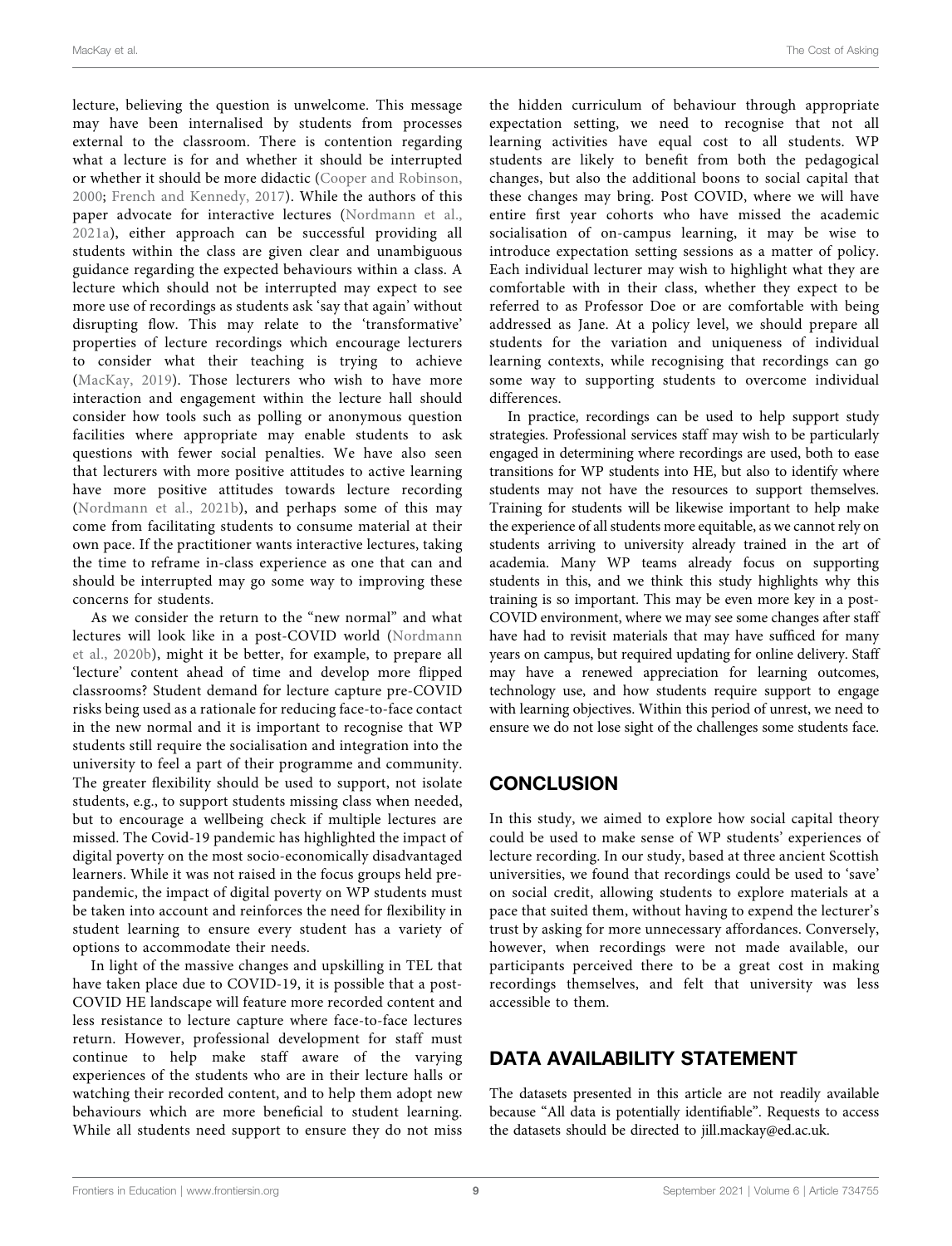lecture, believing the question is unwelcome. This message may have been internalised by students from processes external to the classroom. There is contention regarding what a lecture is for and whether it should be interrupted or whether it should be more didactic [\(Cooper and Robinson,](#page-9-30) [2000](#page-9-30); [French and Kennedy, 2017](#page-9-31)). While the authors of this paper advocate for interactive lectures ([Nordmann et al.,](#page-10-41) [2021a\)](#page-10-41), either approach can be successful providing all students within the class are given clear and unambiguous guidance regarding the expected behaviours within a class. A lecture which should not be interrupted may expect to see more use of recordings as students ask 'say that again' without disrupting flow. This may relate to the 'transformative' properties of lecture recordings which encourage lecturers to consider what their teaching is trying to achieve ([MacKay, 2019\)](#page-10-16). Those lecturers who wish to have more interaction and engagement within the lecture hall should consider how tools such as polling or anonymous question facilities where appropriate may enable students to ask questions with fewer social penalties. We have also seen that lecturers with more positive attitudes to active learning have more positive attitudes towards lecture recording ([Nordmann et al., 2021b](#page-10-42)), and perhaps some of this may come from facilitating students to consume material at their own pace. If the practitioner wants interactive lectures, taking the time to reframe in-class experience as one that can and should be interrupted may go some way to improving these concerns for students.

As we consider the return to the "new normal" and what lectures will look like in a post-COVID world ([Nordmann](#page-10-19) [et al., 2020b\)](#page-10-19), might it be better, for example, to prepare all 'lecture' content ahead of time and develop more flipped classrooms? Student demand for lecture capture pre-COVID risks being used as a rationale for reducing face-to-face contact in the new normal and it is important to recognise that WP students still require the socialisation and integration into the university to feel a part of their programme and community. The greater flexibility should be used to support, not isolate students, e.g., to support students missing class when needed, but to encourage a wellbeing check if multiple lectures are missed. The Covid-19 pandemic has highlighted the impact of digital poverty on the most socio-economically disadvantaged learners. While it was not raised in the focus groups held prepandemic, the impact of digital poverty on WP students must be taken into account and reinforces the need for flexibility in student learning to ensure every student has a variety of options to accommodate their needs.

In light of the massive changes and upskilling in TEL that have taken place due to COVID-19, it is possible that a post-COVID HE landscape will feature more recorded content and less resistance to lecture capture where face-to-face lectures return. However, professional development for staff must continue to help make staff aware of the varying experiences of the students who are in their lecture halls or watching their recorded content, and to help them adopt new behaviours which are more beneficial to student learning. While all students need support to ensure they do not miss

the hidden curriculum of behaviour through appropriate expectation setting, we need to recognise that not all learning activities have equal cost to all students. WP students are likely to benefit from both the pedagogical changes, but also the additional boons to social capital that these changes may bring. Post COVID, where we will have entire first year cohorts who have missed the academic socialisation of on-campus learning, it may be wise to introduce expectation setting sessions as a matter of policy. Each individual lecturer may wish to highlight what they are comfortable with in their class, whether they expect to be referred to as Professor Doe or are comfortable with being addressed as Jane. At a policy level, we should prepare all students for the variation and uniqueness of individual learning contexts, while recognising that recordings can go some way to supporting students to overcome individual differences.

In practice, recordings can be used to help support study strategies. Professional services staff may wish to be particularly engaged in determining where recordings are used, both to ease transitions for WP students into HE, but also to identify where students may not have the resources to support themselves. Training for students will be likewise important to help make the experience of all students more equitable, as we cannot rely on students arriving to university already trained in the art of academia. Many WP teams already focus on supporting students in this, and we think this study highlights why this training is so important. This may be even more key in a post-COVID environment, where we may see some changes after staff have had to revisit materials that may have sufficed for many years on campus, but required updating for online delivery. Staff may have a renewed appreciation for learning outcomes, technology use, and how students require support to engage with learning objectives. Within this period of unrest, we need to ensure we do not lose sight of the challenges some students face.

# **CONCLUSION**

In this study, we aimed to explore how social capital theory could be used to make sense of WP students' experiences of lecture recording. In our study, based at three ancient Scottish universities, we found that recordings could be used to 'save' on social credit, allowing students to explore materials at a pace that suited them, without having to expend the lecturer's trust by asking for more unnecessary affordances. Conversely, however, when recordings were not made available, our participants perceived there to be a great cost in making recordings themselves, and felt that university was less accessible to them.

# DATA AVAILABILITY STATEMENT

The datasets presented in this article are not readily available because "All data is potentially identifiable". Requests to access the datasets should be directed to [jill.mackay@ed.ac.uk.](http://jill.mackay@ed.ac.uk)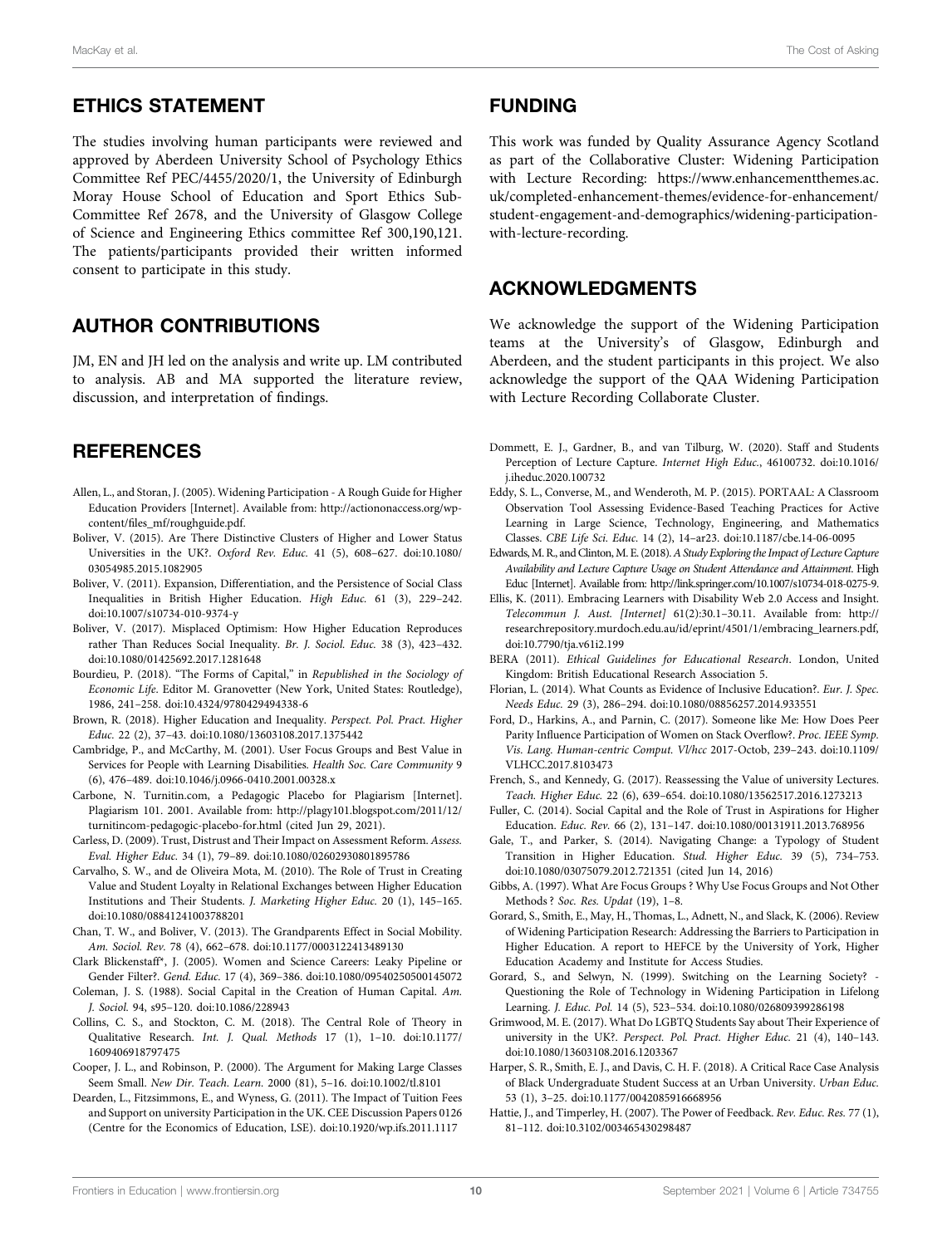## ETHICS STATEMENT

The studies involving human participants were reviewed and approved by Aberdeen University School of Psychology Ethics Committee Ref PEC/4455/2020/1, the University of Edinburgh Moray House School of Education and Sport Ethics Sub-Committee Ref 2678, and the University of Glasgow College of Science and Engineering Ethics committee Ref 300,190,121. The patients/participants provided their written informed consent to participate in this study.

### AUTHOR CONTRIBUTIONS

JM, EN and JH led on the analysis and write up. LM contributed to analysis. AB and MA supported the literature review, discussion, and interpretation of findings.

# REFERENCES

- <span id="page-9-2"></span>Allen, L., and Storan, J. (2005). Widening Participation - A Rough Guide for Higher Education Providers [Internet]. Available from: [http://actiononaccess.org/wp](http://actiononaccess.org/wp-content/files_mf/roughguide.pdf)content/fi[les\\_mf/roughguide.pdf](http://actiononaccess.org/wp-content/files_mf/roughguide.pdf).
- <span id="page-9-27"></span>Boliver, V. (2015). Are There Distinctive Clusters of Higher and Lower Status Universities in the UK?. Oxford Rev. Educ. 41 (5), 608–627. doi:[10.1080/](https://doi.org/10.1080/03054985.2015.1082905) [03054985.2015.1082905](https://doi.org/10.1080/03054985.2015.1082905)
- <span id="page-9-28"></span>Boliver, V. (2011). Expansion, Differentiation, and the Persistence of Social Class Inequalities in British Higher Education. High Educ. 61 (3), 229–242. doi:[10.1007/s10734-010-9374-y](https://doi.org/10.1007/s10734-010-9374-y)
- <span id="page-9-4"></span>Boliver, V. (2017). Misplaced Optimism: How Higher Education Reproduces rather Than Reduces Social Inequality. Br. J. Sociol. Educ. 38 (3), 423–432. doi:[10.1080/01425692.2017.1281648](https://doi.org/10.1080/01425692.2017.1281648)
- <span id="page-9-11"></span>Bourdieu, P. (2018). "The Forms of Capital," in Republished in the Sociology of Economic Life. Editor M. Granovetter (New York, United States: Routledge), 1986, 241–258. doi[:10.4324/9780429494338-6](https://doi.org/10.4324/9780429494338-6)
- <span id="page-9-5"></span>Brown, R. (2018). Higher Education and Inequality. Perspect. Pol. Pract. Higher Educ. 22 (2), 37–43. doi[:10.1080/13603108.2017.1375442](https://doi.org/10.1080/13603108.2017.1375442)
- <span id="page-9-26"></span>Cambridge, P., and McCarthy, M. (2001). User Focus Groups and Best Value in Services for People with Learning Disabilities. Health Soc. Care Community 9 (6), 476–489. doi:[10.1046/j.0966-0410.2001.00328.x](https://doi.org/10.1046/j.0966-0410.2001.00328.x)
- <span id="page-9-24"></span>Carbone, N. Turnitin.com, a Pedagogic Placebo for Plagiarism [Internet]. Plagiarism 101. 2001. Available from: [http://plagy101.blogspot.com/2011/12/](http://plagy101.blogspot.com/2011/12/turnitincom-pedagogic-placebo-for.html) [turnitincom-pedagogic-placebo-for.html](http://plagy101.blogspot.com/2011/12/turnitincom-pedagogic-placebo-for.html) (cited Jun 29, 2021).
- <span id="page-9-15"></span>Carless, D. (2009). Trust, Distrust and Their Impact on Assessment Reform. Assess. Eval. Higher Educ. 34 (1), 79–89. doi:[10.1080/02602930801895786](https://doi.org/10.1080/02602930801895786)
- <span id="page-9-14"></span>Carvalho, S. W., and de Oliveira Mota, M. (2010). The Role of Trust in Creating Value and Student Loyalty in Relational Exchanges between Higher Education Institutions and Their Students. J. Marketing Higher Educ. 20 (1), 145–165. doi:[10.1080/08841241003788201](https://doi.org/10.1080/08841241003788201)
- <span id="page-9-29"></span>Chan, T. W., and Boliver, V. (2013). The Grandparents Effect in Social Mobility. Am. Sociol. Rev. 78 (4), 662–678. doi:[10.1177/0003122413489130](https://doi.org/10.1177/0003122413489130)
- <span id="page-9-9"></span>Clark Blickenstaff\*, J. (2005). Women and Science Careers: Leaky Pipeline or Gender Filter?. Gend. Educ. 17 (4), 369–386. doi:[10.1080/09540250500145072](https://doi.org/10.1080/09540250500145072)
- <span id="page-9-12"></span>Coleman, J. S. (1988). Social Capital in the Creation of Human Capital. Am. J. Sociol. 94, s95–120. doi[:10.1086/228943](https://doi.org/10.1086/228943)
- <span id="page-9-20"></span>Collins, C. S., and Stockton, C. M. (2018). The Central Role of Theory in Qualitative Research. Int. J. Qual. Methods 17 (1), 1–10. doi:[10.1177/](https://doi.org/10.1177/1609406918797475) [1609406918797475](https://doi.org/10.1177/1609406918797475)
- <span id="page-9-30"></span>Cooper, J. L., and Robinson, P. (2000). The Argument for Making Large Classes Seem Small. New Dir. Teach. Learn. 2000 (81), 5–16. doi:[10.1002/tl.8101](https://doi.org/10.1002/tl.8101)
- <span id="page-9-7"></span>Dearden, L., Fitzsimmons, E., and Wyness, G. (2011). The Impact of Tuition Fees and Support on university Participation in the UK. CEE Discussion Papers 0126 (Centre for the Economics of Education, LSE). doi[:10.1920/wp.ifs.2011.1117](https://doi.org/10.1920/wp.ifs.2011.1117)

#### FUNDING

This work was funded by Quality Assurance Agency Scotland as part of the Collaborative Cluster: Widening Participation with Lecture Recording: [https://www.enhancementthemes.ac.](https://www.enhancementthemes.ac.uk/completed-enhancement-themes/evidence-for-enhancement/student-engagement-and-demographics/widening-participation-with-lecture-recording) [uk/completed-enhancement-themes/evidence-for-enhancement/](https://www.enhancementthemes.ac.uk/completed-enhancement-themes/evidence-for-enhancement/student-engagement-and-demographics/widening-participation-with-lecture-recording) [student-engagement-and-demographics/widening-participation](https://www.enhancementthemes.ac.uk/completed-enhancement-themes/evidence-for-enhancement/student-engagement-and-demographics/widening-participation-with-lecture-recording)[with-lecture-recording](https://www.enhancementthemes.ac.uk/completed-enhancement-themes/evidence-for-enhancement/student-engagement-and-demographics/widening-participation-with-lecture-recording).

## ACKNOWLEDGMENTS

We acknowledge the support of the Widening Participation teams at the University's of Glasgow, Edinburgh and Aberdeen, and the student participants in this project. We also acknowledge the support of the QAA Widening Participation with Lecture Recording Collaborate Cluster.

- <span id="page-9-17"></span>Dommett, E. J., Gardner, B., and van Tilburg, W. (2020). Staff and Students Perception of Lecture Capture. Internet High Educ., 46100732. doi[:10.1016/](https://doi.org/10.1016/j.iheduc.2020.100732) [j.iheduc.2020.100732](https://doi.org/10.1016/j.iheduc.2020.100732)
- <span id="page-9-25"></span>Eddy, S. L., Converse, M., and Wenderoth, M. P. (2015). PORTAAL: A Classroom Observation Tool Assessing Evidence-Based Teaching Practices for Active Learning in Large Science, Technology, Engineering, and Mathematics Classes. CBE Life Sci. Educ. 14 (2), 14–ar23. doi:[10.1187/cbe.14-06-0095](https://doi.org/10.1187/cbe.14-06-0095)
- <span id="page-9-23"></span>Edwards, M. R., and Clinton, M. E. (2018). A Study Exploring the Impact of Lecture Capture Availability and Lecture Capture Usage on Student Attendance and Attainment. High Educ [Internet]. Available from:<http://link.springer.com/10.1007/s10734-018-0275-9>.
- <span id="page-9-22"></span>Ellis, K. (2011). Embracing Learners with Disability Web 2.0 Access and Insight. Telecommun J. Aust. [Internet] 61(2):30.1–30.11. Available from: [http://](http://researchrepository.murdoch.edu.au/id/eprint/4501/1/embracing_learners.pdf) [researchrepository.murdoch.edu.au/id/eprint/4501/1/embracing\\_learners.pdf,](http://researchrepository.murdoch.edu.au/id/eprint/4501/1/embracing_learners.pdf) doi[:10.7790/tja.v61i2.199](https://doi.org/10.7790/tja.v61i2.199)
- <span id="page-9-18"></span>BERA (2011). Ethical Guidelines for Educational Research. London, United Kingdom: British Educational Research Association 5.
- <span id="page-9-6"></span>Florian, L. (2014). What Counts as Evidence of Inclusive Education?. Eur. J. Spec. Needs Educ. 29 (3), 286–294. doi:[10.1080/08856257.2014.933551](https://doi.org/10.1080/08856257.2014.933551)
- <span id="page-9-8"></span>Ford, D., Harkins, A., and Parnin, C. (2017). Someone like Me: How Does Peer Parity Influence Participation of Women on Stack Overflow?. Proc. IEEE Symp. Vis. Lang. Human-centric Comput. Vl/hcc 2017-Octob, 239–243. doi[:10.1109/](https://doi.org/10.1109/VLHCC.2017.8103473) [VLHCC.2017.8103473](https://doi.org/10.1109/VLHCC.2017.8103473)
- <span id="page-9-31"></span>French, S., and Kennedy, G. (2017). Reassessing the Value of university Lectures. Teach. Higher Educ. 22 (6), 639–654. doi:[10.1080/13562517.2016.1273213](https://doi.org/10.1080/13562517.2016.1273213)
- <span id="page-9-13"></span>Fuller, C. (2014). Social Capital and the Role of Trust in Aspirations for Higher Education. Educ. Rev. 66 (2), 131–147. doi:[10.1080/00131911.2013.768956](https://doi.org/10.1080/00131911.2013.768956)
- <span id="page-9-1"></span>Gale, T., and Parker, S. (2014). Navigating Change: a Typology of Student Transition in Higher Education. Stud. Higher Educ. 39 (5), 734–753. doi[:10.1080/03075079.2012.721351](https://doi.org/10.1080/03075079.2012.721351) (cited Jun 14, 2016)
- <span id="page-9-19"></span>Gibbs, A. (1997). What Are Focus Groups ? Why Use Focus Groups and Not Other Methods ? Soc. Res. Updat (19), 1–8.
- <span id="page-9-0"></span>Gorard, S., Smith, E., May, H., Thomas, L., Adnett, N., and Slack, K. (2006). Review of Widening Participation Research: Addressing the Barriers to Participation in Higher Education. A report to HEFCE by the University of York, Higher Education Academy and Institute for Access Studies.
- <span id="page-9-10"></span>Gorard, S., and Selwyn, N. (1999). Switching on the Learning Society? -Questioning the Role of Technology in Widening Participation in Lifelong Learning. J. Educ. Pol. 14 (5), 523–534. doi:[10.1080/026809399286198](https://doi.org/10.1080/026809399286198)
- <span id="page-9-3"></span>Grimwood, M. E. (2017). What Do LGBTQ Students Say about Their Experience of university in the UK?. Perspect. Pol. Pract. Higher Educ. 21 (4), 140–143. doi[:10.1080/13603108.2016.1203367](https://doi.org/10.1080/13603108.2016.1203367)
- <span id="page-9-21"></span>Harper, S. R., Smith, E. J., and Davis, C. H. F. (2018). A Critical Race Case Analysis of Black Undergraduate Student Success at an Urban University. Urban Educ. 53 (1), 3–25. doi:[10.1177/0042085916668956](https://doi.org/10.1177/0042085916668956)
- <span id="page-9-16"></span>Hattie, J., and Timperley, H. (2007). The Power of Feedback. Rev. Educ. Res. 77 (1), 81–112. doi[:10.3102/003465430298487](https://doi.org/10.3102/003465430298487)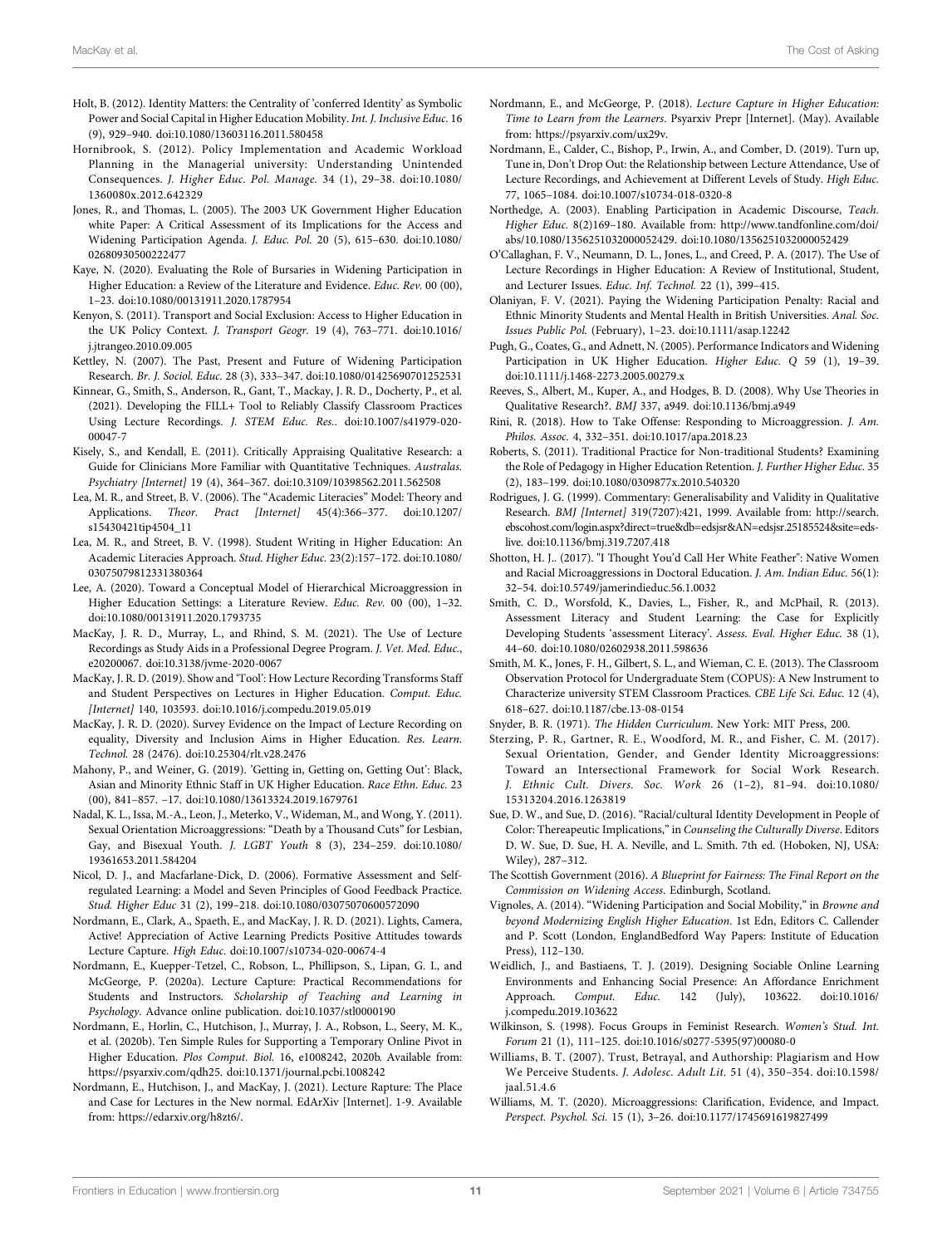- <span id="page-10-23"></span>Holt, B. (2012). Identity Matters: the Centrality of 'conferred Identity' as Symbolic Power and Social Capital in Higher Education Mobility. Int. J. Inclusive Educ. 16 (9), 929–940. doi:[10.1080/13603116.2011.580458](https://doi.org/10.1080/13603116.2011.580458)
- <span id="page-10-29"></span>Hornibrook, S. (2012). Policy Implementation and Academic Workload Planning in the Managerial university: Understanding Unintended Consequences. J. Higher Educ. Pol. Manage. 34 (1), 29–38. doi:[10.1080/](https://doi.org/10.1080/1360080x.2012.642329) [1360080x.2012.642329](https://doi.org/10.1080/1360080x.2012.642329)
- <span id="page-10-2"></span>Jones, R., and Thomas, L. (2005). The 2003 UK Government Higher Education white Paper: A Critical Assessment of its Implications for the Access and Widening Participation Agenda. J. Educ. Pol. 20 (5), 615–630. doi:[10.1080/](https://doi.org/10.1080/02680930500222477) [02680930500222477](https://doi.org/10.1080/02680930500222477)
- <span id="page-10-7"></span>Kaye, N. (2020). Evaluating the Role of Bursaries in Widening Participation in Higher Education: a Review of the Literature and Evidence. Educ. Rev. 00 (00), 1–23. doi[:10.1080/00131911.2020.1787954](https://doi.org/10.1080/00131911.2020.1787954)
- <span id="page-10-4"></span>Kenyon, S. (2011). Transport and Social Exclusion: Access to Higher Education in the UK Policy Context. J. Transport Geogr. 19 (4), 763–771. doi:[10.1016/](https://doi.org/10.1016/j.jtrangeo.2010.09.005) [j.jtrangeo.2010.09.005](https://doi.org/10.1016/j.jtrangeo.2010.09.005)
- <span id="page-10-0"></span>Kettley, N. (2007). The Past, Present and Future of Widening Participation Research. Br. J. Sociol. Educ. 28 (3), 333–347. doi:[10.1080/01425690701252531](https://doi.org/10.1080/01425690701252531)
- <span id="page-10-37"></span>Kinnear, G., Smith, S., Anderson, R., Gant, T., Mackay, J. R. D., Docherty, P., et al. (2021). Developing the FILL+ Tool to Reliably Classify Classroom Practices Using Lecture Recordings. J. STEM Educ. Res.. doi:[10.1007/s41979-020-](https://doi.org/10.1007/s41979-020-00047-7) [00047-7](https://doi.org/10.1007/s41979-020-00047-7)
- <span id="page-10-39"></span>Kisely, S., and Kendall, E. (2011). Critically Appraising Qualitative Research: a Guide for Clinicians More Familiar with Quantitative Techniques. Australas. Psychiatry [Internet] 19 (4), 364–367. doi:[10.3109/10398562.2011.562508](https://doi.org/10.3109/10398562.2011.562508)
- <span id="page-10-22"></span>Lea, M. R., and Street, B. V. (2006). The "Academic Literacies" Model: Theory and Applications. Theor. Pract [Internet] 45(4):366–377. doi:[10.1207/](https://doi.org/10.1207/s15430421tip4504_11) [s15430421tip4504\\_11](https://doi.org/10.1207/s15430421tip4504_11)
- <span id="page-10-20"></span>Lea, M. R., and Street, B. V. (1998). Student Writing in Higher Education: An Academic Literacies Approach. Stud. Higher Educ. 23(2):157–172. doi:[10.1080/](https://doi.org/10.1080/03075079812331380364) [03075079812331380364](https://doi.org/10.1080/03075079812331380364)
- <span id="page-10-15"></span>Lee, A. (2020). Toward a Conceptual Model of Hierarchical Microaggression in Higher Education Settings: a Literature Review. Educ. Rev. 00 (00), 1–32. doi:[10.1080/00131911.2020.1793735](https://doi.org/10.1080/00131911.2020.1793735)
- <span id="page-10-35"></span>MacKay, J. R. D., Murray, L., and Rhind, S. M. (2021). The Use of Lecture Recordings as Study Aids in a Professional Degree Program. J. Vet. Med. Educ., e20200067. doi[:10.3138/jvme-2020-0067](https://doi.org/10.3138/jvme-2020-0067)
- <span id="page-10-16"></span>MacKay, J. R. D. (2019). Show and 'Tool': How Lecture Recording Transforms Staff and Student Perspectives on Lectures in Higher Education. Comput. Educ. [Internet] 140, 103593. doi[:10.1016/j.compedu.2019.05.019](https://doi.org/10.1016/j.compedu.2019.05.019)
- <span id="page-10-18"></span>MacKay, J. R. D. (2020). Survey Evidence on the Impact of Lecture Recording on equality, Diversity and Inclusion Aims in Higher Education. Res. Learn. Technol. 28 (2476). doi[:10.25304/rlt.v28.2476](https://doi.org/10.25304/rlt.v28.2476)
- <span id="page-10-8"></span>Mahony, P., and Weiner, G. (2019). 'Getting in, Getting on, Getting Out': Black, Asian and Minority Ethnic Staff in UK Higher Education. Race Ethn. Educ. 23 (00), 841–857. –17. doi:[10.1080/13613324.2019.1679761](https://doi.org/10.1080/13613324.2019.1679761)
- <span id="page-10-10"></span>Nadal, K. L., Issa, M.-A., Leon, J., Meterko, V., Wideman, M., and Wong, Y. (2011). Sexual Orientation Microaggressions: "Death by a Thousand Cuts" for Lesbian, Gay, and Bisexual Youth. J. LGBT Youth 8 (3), 234–259. doi:[10.1080/](https://doi.org/10.1080/19361653.2011.584204) [19361653.2011.584204](https://doi.org/10.1080/19361653.2011.584204)
- <span id="page-10-24"></span>Nicol, D. J., and Macfarlane-Dick, D. (2006). Formative Assessment and Selfregulated Learning: a Model and Seven Principles of Good Feedback Practice. Stud. Higher Educ 31 (2), 199–218. doi:[10.1080/03075070600572090](https://doi.org/10.1080/03075070600572090)
- <span id="page-10-42"></span>Nordmann, E., Clark, A., Spaeth, E., and MacKay, J. R. D. (2021). Lights, Camera, Active! Appreciation of Active Learning Predicts Positive Attitudes towards Lecture Capture. High Educ. doi[:10.1007/s10734-020-00674-4](https://doi.org/10.1007/s10734-020-00674-4)
- <span id="page-10-17"></span>Nordmann, E., Kuepper-Tetzel, C., Robson, L., Phillipson, S., Lipan, G. I., and McGeorge, P. (2020a). Lecture Capture: Practical Recommendations for Students and Instructors. Scholarship of Teaching and Learning in Psychology. Advance online publication. doi[:10.1037/stl0000190](https://doi.org/10.1037/stl0000190)
- <span id="page-10-19"></span>Nordmann, E., Horlin, C., Hutchison, J., Murray, J. A., Robson, L., Seery, M. K., et al. (2020b). Ten Simple Rules for Supporting a Temporary Online Pivot in Higher Education. Plos Comput. Biol. 16, e1008242, 2020b. Available from: [https://psyarxiv.com/qdh25.](https://psyarxiv.com/qdh25) doi:[10.1371/journal.pcbi.1008242](https://doi.org/10.1371/journal.pcbi.1008242)
- <span id="page-10-41"></span>Nordmann, E., Hutchison, J., and MacKay, J. (2021). Lecture Rapture: The Place and Case for Lectures in the New normal. EdArXiv [Internet]. 1-9. Available from: [https://edarxiv.org/h8zt6/.](https://edarxiv.org/h8zt6/)
- <span id="page-10-27"></span>Nordmann, E., and McGeorge, P. (2018). Lecture Capture in Higher Education: Time to Learn from the Learners. Psyarxiv Prepr [Internet]. (May). Available from:<https://psyarxiv.com/ux29v>.
- <span id="page-10-32"></span>Nordmann, E., Calder, C., Bishop, P., Irwin, A., and Comber, D. (2019). Turn up, Tune in, Don't Drop Out: the Relationship between Lecture Attendance, Use of Lecture Recordings, and Achievement at Different Levels of Study. High Educ. 77, 1065–1084. doi[:10.1007/s10734-018-0320-8](https://doi.org/10.1007/s10734-018-0320-8)
- <span id="page-10-21"></span>Northedge, A. (2003). Enabling Participation in Academic Discourse, Teach. Higher Educ. 8(2)169–180. Available from: [http://www.tandfonline.com/doi/](http://www.tandfonline.com/doi/abs/10.1080/1356251032000052429) [abs/10.1080/1356251032000052429.](http://www.tandfonline.com/doi/abs/10.1080/1356251032000052429) doi[:10.1080/1356251032000052429](https://doi.org/10.1080/1356251032000052429)
- <span id="page-10-34"></span>O'Callaghan, F. V., Neumann, D. L., Jones, L., and Creed, P. A. (2017). The Use of Lecture Recordings in Higher Education: A Review of Institutional, Student, and Lecturer Issues. Educ. Inf. Technol. 22 (1), 399–415.
- <span id="page-10-14"></span>Olaniyan, F. V. (2021). Paying the Widening Participation Penalty: Racial and Ethnic Minority Students and Mental Health in British Universities. Anal. Soc. Issues Public Pol. (February), 1–23. doi:[10.1111/asap.12242](https://doi.org/10.1111/asap.12242)
- <span id="page-10-3"></span>Pugh, G., Coates, G., and Adnett, N. (2005). Performance Indicators and Widening Participation in UK Higher Education. Higher Educ. Q 59 (1), 19–39. doi[:10.1111/j.1468-2273.2005.00279.x](https://doi.org/10.1111/j.1468-2273.2005.00279.x)
- <span id="page-10-28"></span>Reeves, S., Albert, M., Kuper, A., and Hodges, B. D. (2008). Why Use Theories in Qualitative Research?. BMJ 337, a949. doi:[10.1136/bmj.a949](https://doi.org/10.1136/bmj.a949)
- <span id="page-10-13"></span>Rini, R. (2018). How to Take Offense: Responding to Microaggression. J. Am. Philos. Assoc. 4, 332–351. doi:[10.1017/apa.2018.23](https://doi.org/10.1017/apa.2018.23)
- <span id="page-10-5"></span>Roberts, S. (2011). Traditional Practice for Non-traditional Students? Examining the Role of Pedagogy in Higher Education Retention. J. Further Higher Educ. 35 (2), 183–199. doi:[10.1080/0309877x.2010.540320](https://doi.org/10.1080/0309877x.2010.540320)
- <span id="page-10-40"></span>Rodrigues, J. G. (1999). Commentary: Generalisability and Validity in Qualitative Research. BMJ [Internet] 319(7207):421, 1999. Available from: [http://search.](http://search.ebscohost.com/login.aspx?direct=true&db=edsjsr&AN=edsjsr.25185524&site=eds-live) [ebscohost.com/login.aspx?direct](http://search.ebscohost.com/login.aspx?direct=true&db=edsjsr&AN=edsjsr.25185524&site=eds-live)=[true&db](http://search.ebscohost.com/login.aspx?direct=true&db=edsjsr&AN=edsjsr.25185524&site=eds-live)=[edsjsr&AN](http://search.ebscohost.com/login.aspx?direct=true&db=edsjsr&AN=edsjsr.25185524&site=eds-live)=[edsjsr.25185524&site](http://search.ebscohost.com/login.aspx?direct=true&db=edsjsr&AN=edsjsr.25185524&site=eds-live)=[eds](http://search.ebscohost.com/login.aspx?direct=true&db=edsjsr&AN=edsjsr.25185524&site=eds-live)[live.](http://search.ebscohost.com/login.aspx?direct=true&db=edsjsr&AN=edsjsr.25185524&site=eds-live) doi[:10.1136/bmj.319.7207.418](https://doi.org/10.1136/bmj.319.7207.418)
- <span id="page-10-30"></span>Shotton, H. J.. (2017). "I Thought You'd Call Her White Feather": Native Women and Racial Microaggressions in Doctoral Education. J. Am. Indian Educ. 56(1): 32–54. doi:[10.5749/jamerindieduc.56.1.0032](https://doi.org/10.5749/jamerindieduc.56.1.0032)
- <span id="page-10-25"></span>Smith, C. D., Worsfold, K., Davies, L., Fisher, R., and McPhail, R. (2013). Assessment Literacy and Student Learning: the Case for Explicitly Developing Students 'assessment Literacy'. Assess. Eval. Higher Educ. 38 (1), 44–60. doi:[10.1080/02602938.2011.598636](https://doi.org/10.1080/02602938.2011.598636)
- <span id="page-10-36"></span>Smith, M. K., Jones, F. H., Gilbert, S. L., and Wieman, C. E. (2013). The Classroom Observation Protocol for Undergraduate Stem (COPUS): A New Instrument to Characterize university STEM Classroom Practices. CBE Life Sci. Educ. 12 (4), 618–627. doi:[10.1187/cbe.13-08-0154](https://doi.org/10.1187/cbe.13-08-0154)
- <span id="page-10-26"></span>Snyder, B. R. (1971). The Hidden Curriculum. New York: MIT Press, 200.
- <span id="page-10-11"></span>Sterzing, P. R., Gartner, R. E., Woodford, M. R., and Fisher, C. M. (2017). Sexual Orientation, Gender, and Gender Identity Microaggressions: Toward an Intersectional Framework for Social Work Research. J. Ethnic Cult. Divers. Soc. Work 26 (1–2), 81–94. doi:[10.1080/](https://doi.org/10.1080/15313204.2016.1263819) [15313204.2016.1263819](https://doi.org/10.1080/15313204.2016.1263819)
- <span id="page-10-9"></span>Sue, D. W., and Sue, D. (2016). "Racial/cultural Identity Development in People of Color: Thereapeutic Implications,"in Counseling the Culturally Diverse. Editors D. W. Sue, D. Sue, H. A. Neville, and L. Smith. 7th ed. (Hoboken, NJ, USA: Wiley), 287–312.
- <span id="page-10-1"></span>The Scottish Government (2016). A Blueprint for Fairness: The Final Report on the Commission on Widening Access. Edinburgh, Scotland.
- <span id="page-10-6"></span>Vignoles, A. (2014). "Widening Participation and Social Mobility," in Browne and beyond Modernizing English Higher Education. 1st Edn, Editors C. Callender and P. Scott (London, EnglandBedford Way Papers: Institute of Education Press), 112–130.
- <span id="page-10-31"></span>Weidlich, J., and Bastiaens, T. J. (2019). Designing Sociable Online Learning Environments and Enhancing Social Presence: An Affordance Enrichment Approach. Comput. Educ. 142 (July), 103622. doi[:10.1016/](https://doi.org/10.1016/j.compedu.2019.103622) [j.compedu.2019.103622](https://doi.org/10.1016/j.compedu.2019.103622)
- <span id="page-10-38"></span>Wilkinson, S. (1998). Focus Groups in Feminist Research. Women's Stud. Int. Forum 21 (1), 111–125. doi:[10.1016/s0277-5395\(97\)00080-0](https://doi.org/10.1016/s0277-5395(97)00080-0)
- <span id="page-10-33"></span>Williams, B. T. (2007). Trust, Betrayal, and Authorship: Plagiarism and How We Perceive Students. J. Adolesc. Adult Lit. 51 (4), 350–354. doi:[10.1598/](https://doi.org/10.1598/jaal.51.4.6) [jaal.51.4.6](https://doi.org/10.1598/jaal.51.4.6)
- <span id="page-10-12"></span>Williams, M. T. (2020). Microaggressions: Clarification, Evidence, and Impact. Perspect. Psychol. Sci. 15 (1), 3–26. doi[:10.1177/1745691619827499](https://doi.org/10.1177/1745691619827499)